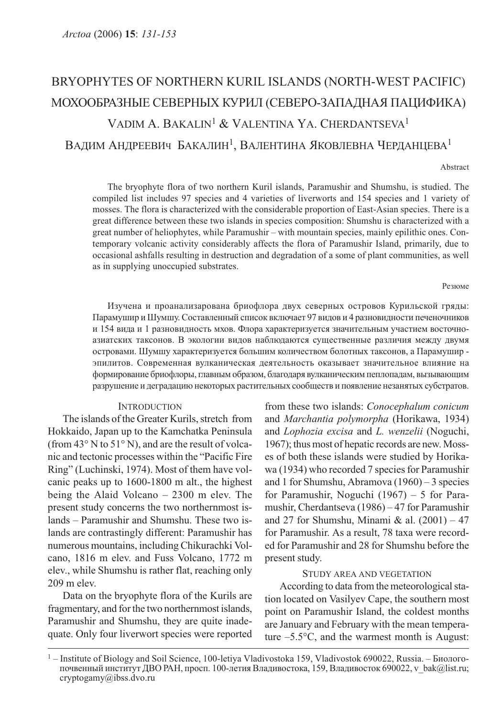# BRYOPHYTES OF NORTHERN KURIL ISLANDS (NORTH-WEST PACIFIC) МОХООБРАЗНЫЕ СЕВЕРНЫХ КУРИЛ (СЕВЕРО-ЗАПАДНАЯ ПАЦИФИКА) VADIM A. BAKALIN1 & VALENTINA YA. CHERDANTSEVA<sup>1</sup> ВАДИМ АНДРЕЕВИЧ БАКАЛИН<sup>1</sup>, ВАЛЕНТИНА ЯКОВЛЕВНА ЧЕРДАНЦЕВА<sup>1</sup>

Abstract

The bryophyte flora of two northern Kuril islands, Paramushir and Shumshu, is studied. The compiled list includes 97 species and 4 varieties of liverworts and 154 species and 1 variety of mosses. The flora is characterized with the considerable proportion of East-Asian species. There is a great difference between these two islands in species composition: Shumshu is characterized with a great number of heliophytes, while Paramushir – with mountain species, mainly epilithic ones. Contemporary volcanic activity considerably affects the flora of Paramushir Island, primarily, due to occasional ashfalls resulting in destruction and degradation of a some of plant communities, as well as in supplying unoccupied substrates.

#### Резюме

Изучена и проанализарована бриофлора двух северных островов Курильской гряды: Парамушир и Шумшу. Составленный список включает 97 видов и 4 разновидности печеночников и 154 вида и 1 разновидность мхов. Флора характеризуется значительным участием восточноазиатских таксонов. В экологии видов наблюдаются существенные различия между двумя островами. Шумшу характеризуется большим количеством болотных таксонов, а Парамушир эпилитов. Современная вулканическая деятельность оказывает значительное влияние на формирование бриофлоры, главным образом, благодаря вулканическим пеплопадам, вызывающим разрушение и деградацию некоторых растительных сообществ и появление незанятых субстратов.

## **INTRODUCTION**

The islands of the Greater Kurils, stretch from Hokkaido, Japan up to the Kamchatka Peninsula (from 43° N to 51° N), and are the result of volcanic and tectonic processes within the "Pacific Fire Ring" (Luchinski, 1974). Most of them have volcanic peaks up to 1600-1800 m alt., the highest being the Alaid Volcano – 2300 m elev. The present study concerns the two northernmost islands – Paramushir and Shumshu. These two islands are contrastingly different: Paramushir has numerous mountains, including Chikurachki Volcano, 1816 m elev. and Fuss Volcano, 1772 m elev., while Shumshu is rather flat, reaching only 209 m elev.

Data on the bryophyte flora of the Kurils are fragmentary, and for the two northernmost islands, Paramushir and Shumshu, they are quite inadequate. Only four liverwort species were reported from these two islands: Conocephalum conicum and Marchantia polymorpha (Horikawa, 1934) and Lophozia excisa and L. wenzelii (Noguchi, 1967); thus most of hepatic records are new. Mosses of both these islands were studied by Horikawa (1934) who recorded 7 species for Paramushir and 1 for Shumshu, Abramova (1960) – 3 species for Paramushir, Noguchi (1967) – 5 for Paramushir, Cherdantseva (1986) – 47 for Paramushir and 27 for Shumshu, Minami & al.  $(2001) - 47$ for Paramushir. As a result, 78 taxa were recorded for Paramushir and 28 for Shumshu before the present study.

### STUDY AREA AND VEGETATION

According to data from the meteorological station located on Vasilyev Cape, the southern most point on Paramushir Island, the coldest months are January and February with the mean temperature –5.5°C, and the warmest month is August:

 $1 -$ Institute of Biology and Soil Science, 100-letiya Vladivostoka 159, Vladivostok 690022, Russia. – Биологопочвенный институт ДВО РАН, просп. 100-летия Владивостока, 159, Владивосток 690022, v\_bak@list.ru; cryptogamy@ibss.dvo.ru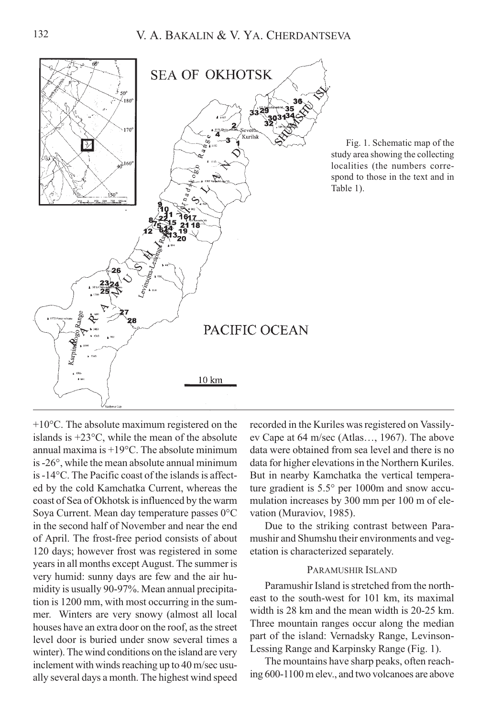

Fig. 1. Schematic map of the study area showing the collecting localities (the numbers correspond to those in the text and in Table 1).

+10°C. The absolute maximum registered on the islands is +23°С, while the mean of the absolute annual maxima is  $+19^{\circ}$ C. The absolute minimum is -26°, while the mean absolute annual minimum is -14°C. The Pacific coast of the islands is affected by the cold Kamchatka Current, whereas the coast of Sea of Okhotsk is influenced by the warm Soya Current. Mean day temperature passes 0°C in the second half of November and near the end of April. The frost-free period consists of about 120 days; however frost was registered in some years in all months except August. The summer is very humid: sunny days are few and the air humidity is usually 90-97%. Mean annual precipitation is 1200 mm, with most occurring in the summer. Winters are very snowy (almost all local houses have an extra door on the roof, as the street level door is buried under snow several times a winter). The wind conditions on the island are very inclement with winds reaching up to 40 m/sec usually several days a month. The highest wind speed recorded in the Kuriles was registered on Vassilyev Cape at 64 m/sec (Atlas…, 1967). The above data were obtained from sea level and there is no data for higher elevations in the Northern Kuriles. But in nearby Kamchatka the vertical temperature gradient is 5.5° per 1000m and snow accumulation increases by 300 mm per 100 m of elevation (Muraviov, 1985).

Due to the striking contrast between Paramushir and Shumshu their environments and vegetation is characterized separately.

## PARAMUSHIR ISLAND

Paramushir Island is stretched from the northeast to the south-west for 101 km, its maximal width is 28 km and the mean width is 20-25 km. Three mountain ranges occur along the median part of the island: Vernadsky Range, Levinson-Lessing Range and Karpinsky Range (Fig. 1).

The mountains have sharp peaks, often reaching 600-1100 m elev., and two volcanoes are above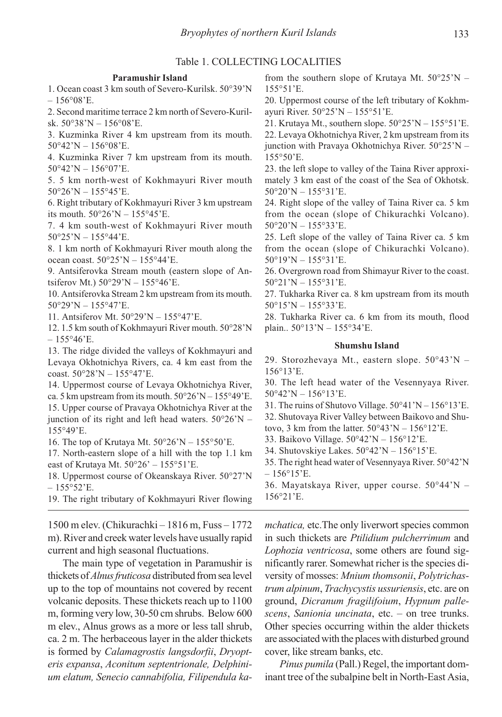## Table 1. COLLECTING LOCALITIES

#### Paramushir Island

1. Ocean coast 3 km south of Severo-Kurilsk. 50°39'N  $-156^{\circ}08'E$ 

2. Second maritime terrace 2 km north of Severo-Kurilsk. 50°38'N – 156°08'E.

3. Kuzminka River 4 km upstream from its mouth.  $50^{\circ}42$ 'N –  $156^{\circ}08$ 'E.

4. Kuzminka River 7 km upstream from its mouth.  $50^{\circ}42'N - 156^{\circ}07'E$ .

5. 5 km north-west of Kokhmayuri River mouth  $50^{\circ}26'$ N –  $155^{\circ}45'$ E.

6. Right tributary of Kokhmayuri River 3 km upstream its mouth. 50°26'N – 155°45'E.

7. 4 km south-west of Kokhmayuri River mouth  $50^{\circ}25'$ N –  $155^{\circ}44'$ E.

8. 1 km north of Kokhmayuri River mouth along the ocean coast. 50°25'N – 155°44'E.

9. Antsiferovka Stream mouth (eastern slope of Antsiferov Mt.) 50°29'N – 155°46'E.

10. Antsiferovka Stream 2 km upstream from its mouth.  $50^{\circ}29'N - 155^{\circ}47'E$ .

11. Antsiferov Mt. 50°29'N – 155°47'E.

12. 1.5 km south of Kokhmayuri River mouth. 50°28'N  $-155^{\circ}46^{\circ}E$ .

13. The ridge divided the valleys of Kokhmayuri and Levaya Okhotnichya Rivers, ca. 4 km east from the coast. 50°28'N – 155°47'E.

14. Uppermost course of Levaya Okhotnichya River, ca. 5 km upstream from its mouth.  $50^{\circ}26'N - 155^{\circ}49'E$ . 15. Upper course of Pravaya Okhotnichya River at the junction of its right and left head waters.  $50^{\circ}26$ 'N – 155°49'E.

16. The top of Krutaya Mt.  $50^{\circ}26'N - 155^{\circ}50'E$ .

17. North-eastern slope of a hill with the top 1.1 km east of Krutaya Mt.  $50^{\circ}26' - 155^{\circ}51'E$ .

18. Uppermost course of Okeanskaya River. 50°27'N  $-155^{\circ}52$ 'E.

19. The right tributary of Kokhmayuri River flowing

1500 m elev. (Chikurachki – 1816 m, Fuss – 1772 m). River and creek water levels have usually rapid current and high seasonal fluctuations.

The main type of vegetation in Paramushir is thickets of *Alnus fruticosa* distributed from sea level up to the top of mountains not covered by recent volcanic deposits. These thickets reach up to 1100 m, forming very low, 30-50 cm shrubs. Below 600 m elev., Alnus grows as a more or less tall shrub, ca. 2 m. The herbaceous layer in the alder thickets is formed by Calamagrostis langsdorfii, Dryopteris expansa, Aconitum septentrionale, Delphinium elatum, Senecio cannabifolia, Filipendula kafrom the southern slope of Krutaya Mt.  $50^{\circ}25'N$  – 155°51'E.

20. Uppermost course of the left tributary of Kokhmayuri River. 50°25'N – 155°51'E.

21. Krutaya Mt., southern slope.  $50^{\circ}25'N - 155^{\circ}51'E$ . 22. Levaya Okhotnichya River, 2 km upstream from its junction with Pravaya Okhotnichya River. 50°25'N – 155°50'E.

23. the left slope to valley of the Taina River approximately 3 km east of the coast of the Sea of Okhotsk.  $50°20'$ N – 155°31'E.

24. Right slope of the valley of Taina River ca. 5 km from the ocean (slope of Chikurachki Volcano). 50°20'N – 155°33'E.

25. Left slope of the valley of Taina River ca. 5 km from the ocean (slope of Chikurachki Volcano).  $50^{\circ}19'N - 155^{\circ}31'E$ .

26. Overgrown road from Shimayur River to the coast. 50°21'N – 155°31'E.

27. Tukharka River ca. 8 km upstream from its mouth  $50^{\circ}15'$ N –  $155^{\circ}33'$ E.

28. Tukharka River ca. 6 km from its mouth, flood plain.. 50°13'N – 155°34'E.

#### Shumshu Island

29. Storozhevaya Mt., eastern slope. 50°43'N – 156°13'E.

30. The left head water of the Vesennyaya River.  $50^{\circ}42'$ N –  $156^{\circ}13'$ E.

31. The ruins of Shutovo Village.  $50^{\circ}41'N - 156^{\circ}13'E$ . 32. Shutovaya River Valley between Baikovo and Shutovo, 3 km from the latter.  $50^{\circ}43'N - 156^{\circ}12'E$ .

33. Baikovo Village. 50°42'N – 156°12'E.

34. Shutovskiye Lakes. 50°42'N – 156°15'E.

35. The right head water of Vesennyaya River. 50°42'N  $-156^{\circ}15$ 'E.

36. Mayatskaya River, upper course. 50°44'N – 156°21'E.

mchatica, etc.The only liverwort species common in such thickets are Ptilidium pulcherrimum and Lophozia ventricosa, some others are found significantly rarer. Somewhat richer is the species diversity of mosses: Mnium thomsonii, Polytrichastrum alpinum, Trachycystis ussuriensis, etc. are on ground, Dicranum fragilifoium, Hypnum pallescens, Sanionia uncinata, etc. – on tree trunks. Other species occurring within the alder thickets are associated with the places with disturbed ground cover, like stream banks, etc.

Pinus pumila (Pall.) Regel, the important dominant tree of the subalpine belt in North-East Asia,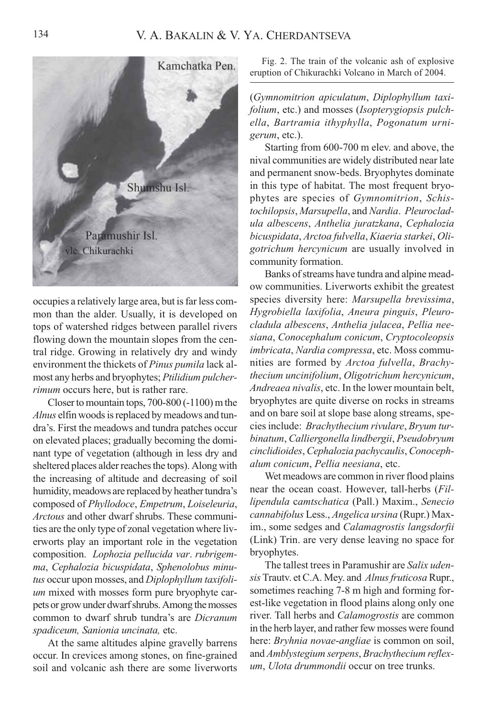

occupies a relatively large area, but is far less common than the alder. Usually, it is developed on tops of watershed ridges between parallel rivers flowing down the mountain slopes from the central ridge. Growing in relatively dry and windy environment the thickets of Pinus pumila lack almost any herbs and bryophytes; Ptilidium pulcherrimum occurs here, but is rather rare.

Closer to mountain tops, 700-800 (-1100) m the Alnus elfin woods is replaced by meadows and tundra's. First the meadows and tundra patches occur on elevated places; gradually becoming the dominant type of vegetation (although in less dry and sheltered places alder reaches the tops). Along with the increasing of altitude and decreasing of soil humidity, meadows are replaced by heather tundra's composed of Phyllodoce, Empetrum, Loiseleuria, Arctous and other dwarf shrubs. These communities are the only type of zonal vegetation where liverworts play an important role in the vegetation composition. Lophozia pellucida var. rubrigemma, Cephalozia bicuspidata, Sphenolobus minutus occur upon mosses, and Diplophyllum taxifolium mixed with mosses form pure bryophyte carpets or grow under dwarf shrubs. Among the mosses common to dwarf shrub tundra's are Dicranum spadiceum, Sanionia uncinata, etc.

At the same altitudes alpine gravelly barrens occur. In crevices among stones, on fine-grained soil and volcanic ash there are some liverworts

Fig. 2. The train of the volcanic ash of explosive eruption of Chikurachki Volcano in March of 2004.

(Gymnomitrion apiculatum, Diplophyllum taxifolium, etc.) and mosses (Isopterygiopsis pulchella, Bartramia ithyphylla, Pogonatum urnigerum, etc.).

Starting from 600-700 m elev. and above, the nival communities are widely distributed near late and permanent snow-beds. Bryophytes dominate in this type of habitat. The most frequent bryophytes are species of Gymnomitrion, Schistochilopsis, Marsupella, and Nardia. Pleurocladula albescens, Anthelia juratzkana, Cephalozia bicuspidata, Arctoa fulvella, Kiaeria starkei, Oligotrichum hercynicum are usually involved in community formation.

Banks of streams have tundra and alpine meadow communities. Liverworts exhibit the greatest species diversity here: Marsupella brevissima, Hygrobiella laxifolia, Aneura pinguis, Pleurocladula albescens, Anthelia julacea, Pellia neesiana, Conocephalum conicum, Cryptocoleopsis imbricata, Nardia compressa, etc. Moss communities are formed by Arctoa fulvella, Brachythecium uncinifolium, Oligotrichum hercynicum, Andreaea nivalis, etc. In the lower mountain belt, bryophytes are quite diverse on rocks in streams and on bare soil at slope base along streams, species include: Brachythecium rivulare, Bryum turbinatum, Calliergonella lindbergii, Pseudobryum cinclidioides, Cephalozia pachycaulis, Conocephalum conicum, Pellia neesiana, etc.

Wet meadows are common in river flood plains near the ocean coast. However, tall-herbs (Fillipendula сamtschatica (Pall.) Maxim., Senecio cannabifolus Less., Angelica ursina (Rupr.) Maxim., some sedges and Calamagrostis langsdorfii (Link) Trin. are very dense leaving no space for bryophytes.

The tallest trees in Paramushir are Salix udensis Trautv. et C.A. Mey. and Alnus fruticosa Rupr., sometimes reaching 7-8 m high and forming forest-like vegetation in flood plains along only one river. Tall herbs and Calamogrostis are common in the herb layer, and rather few mosses were found here: Bryhnia novae-angliae is common on soil, and Amblystegium serpens, Brachythecium reflexum, Ulota drummondii occur on tree trunks.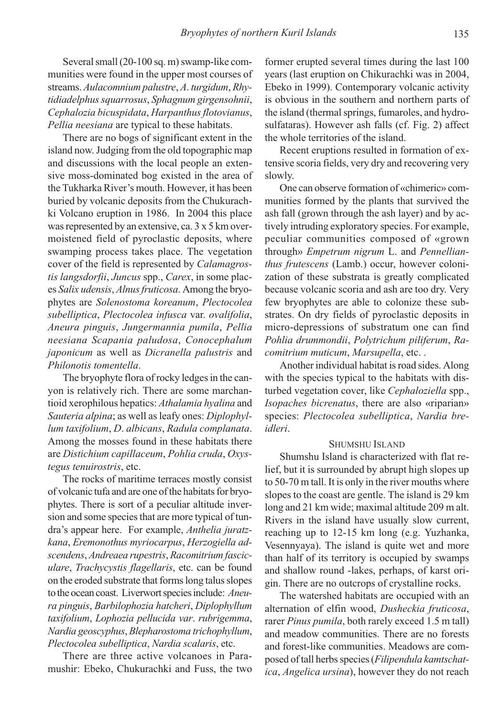Several small (20-100 sq. m) swamp-like communities were found in the upper most courses of streams. Aulacomnium palustre, A. turgidum, Rhytidiadelphus squarrosus, Sphagnum girgensohnii, Cephalozia bicuspidata, Harpanthus flotovianus, Pellia neesiana are typical to these habitats.

There are no bogs of significant extent in the island now. Judging from the old topographic map and discussions with the local people an extensive moss-dominated bog existed in the area of the Tukharka River's mouth. However, it has been buried by volcanic deposits from the Chukurachki Volcano eruption in 1986. In 2004 this place was represented by an extensive, ca. 3 x 5 km overmoistened field of pyroclastic deposits, where swamping process takes place. The vegetation cover of the field is represented by Calamagrostis langsdorfii, Juncus spp., Carex, in some places Salix udensis, Alnus fruticosa. Among the bryophytes are Solenostoma koreanum, Plectocolea subelliptica, Plectocolea infusca var. ovalifolia, Aneura pinguis, Jungermannia pumila, Pellia neesiana Scapania paludosa, Conocephalum japonicum as well as Dicranella palustris and Philonotis tomentella.

The bryophyte flora of rocky ledges in the canyon is relatively rich. There are some marchantioid xerophilous hepatics: Athalamia hyalina and Sauteria alpina; as well as leafy ones: Diplophyllum taxifolium, D. albicans, Radula complanata. Among the mosses found in these habitats there are Distichium capillaceum, Pohlia cruda, Oxystegus tenuirostris, etc.

The rocks of maritime terraces mostly consist of volcanic tufa and are one of the habitats for bryophytes. There is sort of a peculiar altitude inversion and some species that are more typical of tundra's appear here. For example, Anthelia juratzkana, Eremonothus myriocarpus, Herzogiella adscendens, Andreaea rupestris, Racomitrium fasciculare, Trachycystis flagellaris, etc. can be found on the eroded substrate that forms long talus slopes to the ocean coast. Liverwort species include: Aneura pinguis, Barbilophozia hatcheri, Diplophyllum taxifolium, Lophozia pellucida var. rubrigemma, Nardia geoscyphus, Blepharostoma trichophyllum, Plectocolea subelliptica, Nardia scalaris, etc.

There are three active volcanoes in Paramushir: Ebeko, Chukurachki and Fuss, the two former erupted several times during the last 100 years (last eruption on Chikurachki was in 2004, Ebeko in 1999). Contemporary volcanic activity is obvious in the southern and northern parts of the island (thermal springs, fumaroles, and hydrosulfataras). However ash falls (cf. Fig. 2) affect the whole territories of the island.

Recent eruptions resulted in formation of extensive scoria fields, very dry and recovering very slowly.

One can observe formation of «chimeric» communities formed by the plants that survived the ash fall (grown through the ash layer) and by actively intruding exploratory species. For example, peculiar communities composed of «grown through» Empetrum nigrum L. and Pennellianthus frutescens (Lamb.) occur, however colonization of these substrata is greatly complicated because volcanic scoria and ash are too dry. Very few bryophytes are able to colonize these substrates. On dry fields of pyroclastic deposits in micro-depressions of substratum one can find Pohlia drummondii, Polytrichum piliferum, Racomitrium muticum, Marsupella, etc. .

Another individual habitat is road sides. Along with the species typical to the habitats with disturbed vegetation cover, like Cephaloziella spp., Isopaches bicrenatus, there are also «riparian» species: Plectocolea subelliptica, Nardia breidleri.

## SHUMSHU ISLAND

Shumshu Island is characterized with flat relief, but it is surrounded by abrupt high slopes up to 50-70 m tall. It is only in the river mouths where slopes to the coast are gentle. The island is 29 km long and 21 km wide; maximal altitude 209 m alt. Rivers in the island have usually slow current, reaching up to 12-15 km long (e.g. Yuzhanka, Vesennyaya). The island is quite wet and more than half of its territory is occupied by swamps and shallow round -lakes, perhaps, of karst origin. There are no outcrops of crystalline rocks.

The watershed habitats are occupied with an alternation of elfin wood, Dusheckia fruticosa, rarer Pinus pumila, both rarely exceed 1.5 m tall) and meadow communities. There are no forests and forest-like communities. Meadows are composed of tall herbs species (Filipendula kamtschatica, Angelica ursina), however they do not reach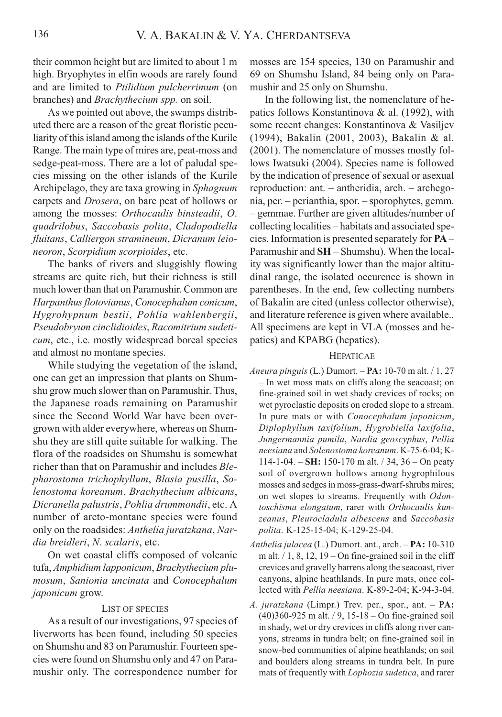their common height but are limited to about 1 m high. Bryophytes in elfin woods are rarely found and are limited to Ptilidium pulcherrimum (on branches) and Brachythecium spp. on soil.

As we pointed out above, the swamps distributed there are a reason of the great floristic peculiarity of this island among the islands of the Kurile Range. The main type of mires are, peat-moss and sedge-peat-moss. There are a lot of paludal species missing on the other islands of the Kurile Archipelago, they are taxa growing in Sphagnum carpets and Drosera, on bare peat of hollows or among the mosses: Orthocaulis binsteadii, O. quadrilobus, Saccobasis polita, Cladopodiella fluitans, Calliergon stramineum, Dicranum leioneoron, Scorpidium scorpioides, etc.

The banks of rivers and sluggishly flowing streams are quite rich, but their richness is still much lower than that on Paramushir. Common are Harpanthus flotovianus, Conocephalum conicum, Hygrohypnum bestii, Pohlia wahlenbergii, Pseudobryum cinclidioides, Racomitrium sudeticum, etc., i.e. mostly widespread boreal species and almost no montane species.

While studying the vegetation of the island, one can get an impression that plants on Shumshu grow much slower than on Paramushir. Thus, the Japanese roads remaining on Paramushir since the Second World War have been overgrown with alder everywhere, whereas on Shumshu they are still quite suitable for walking. The flora of the roadsides on Shumshu is somewhat richer than that on Paramushir and includes Blepharostoma trichophyllum, Blasia pusilla, Solenostoma koreanum, Brachythecium albicans, Dicranella palustris, Pohlia drummondii, etc. A number of arcto-montane species were found only on the roadsides: Anthelia juratzkana, Nardia breidleri, N. scalaris, etc.

On wet coastal cliffs composed of volcanic tufa, Amphidium lapponicum, Brachythecium plumosum, Sanionia uncinata and Conocephalum japonicum grow.

#### LIST OF SPECIES

As a result of our investigations, 97 species of liverworts has been found, including 50 species on Shumshu and 83 on Paramushir. Fourteen species were found on Shumshu only and 47 on Paramushir only. The correspondence number for

mosses are 154 species, 130 on Paramushir and 69 on Shumshu Island, 84 being only on Paramushir and 25 only on Shumshu.

In the following list, the nomenclature of hepatics follows Konstantinova & al. (1992), with some recent changes: Konstantinova & Vasiljev (1994), Bakalin (2001, 2003), Bakalin & al. (2001). The nomenclature of mosses mostly follows Iwatsuki (2004). Species name is followed by the indication of presence of sexual or asexual reproduction: ant. – antheridia, arch. – archegonia, per. – perianthia, spor. – sporophytes, gemm. – gemmae. Further are given altitudes/number of collecting localities – habitats and associated species. Information is presented separately for PA – Paramushir and SH – Shumshu). When the locality was significantly lower than the major altitudinal range, the isolated occurence is shown in parentheses. In the end, few collecting numbers of Bakalin are cited (unless collector otherwise), and literature reference is given where available.. All specimens are kept in VLA (mosses and hepatics) and KPABG (hepatics).

#### HEPATICAE

- Aneura pinguis (L.) Dumort.  $PA: 10-70$  m alt.  $/1, 27$ – In wet moss mats on cliffs along the seacoast; on fine-grained soil in wet shady crevices of rocks; on wet pyroclastic deposits on eroded slope to a stream. In pure mats or with Conocephalum japonicum, Diplophyllum taxifolium, Hygrobiella laxifolia, Jungermannia pumila, Nardia geoscyphus, Pellia neesiana and Solenostoma koreanum. K-75-6-04; K-114-1-04. – SH: 150-170 m alt.  $/$  34, 36 – On peaty soil of overgrown hollows among hygrophilous mosses and sedges in moss-grass-dwarf-shrubs mires; on wet slopes to streams. Frequently with Odontoschisma elongatum, rarer with Orthocaulis kunzeanus, Pleurocladula albescens and Saccobasis polita. K-125-15-04; K-129-25-04.
- Anthelia julacea (L.) Dumort. ant., arch. PA: 10-310 m alt.  $/1$ , 8, 12, 19 – On fine-grained soil in the cliff crevices and gravelly barrens along the seacoast, river canyons, alpine heathlands. In pure mats, once collected with Pellia neesiana. K-89-2-04; K-94-3-04.
- A. juratzkana (Limpr.) Trev. per., spor., ant. PA: (40)360-925 m alt. / 9, 15-18 – On fine-grained soil in shady, wet or dry crevices in cliffs along river canyons, streams in tundra belt; on fine-grained soil in snow-bed communities of alpine heathlands; on soil and boulders along streams in tundra belt. In pure mats of frequently with Lophozia sudetica, and rarer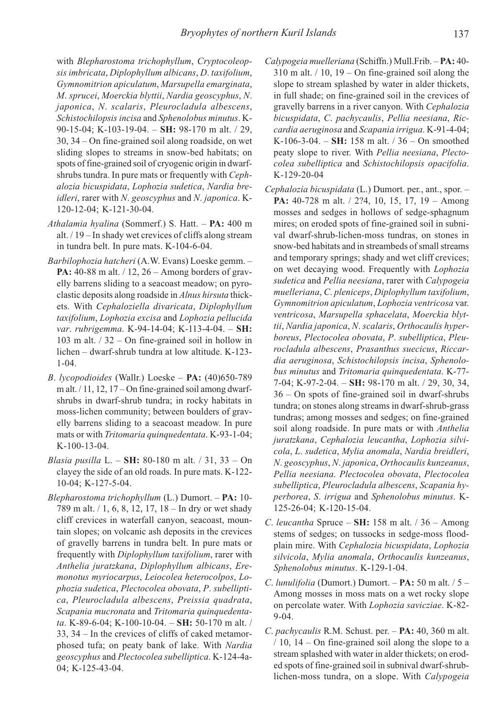with Blepharostoma trichophyllum, Cryptocoleopsis imbricata, Diplophyllum albicans, D. taxifolium, Gymnomitrion apiculatum, Marsupella emarginata, M. sprucei, Moerckia blyttii, Nardia geoscyphus, N. japonica, N. scalaris, Pleurocladula albescens, Schistochilopsis incisa and Sphenolobus minutus. K-90-15-04; K-103-19-04. – SH: 98-170 m alt. / 29, 30, 34 – On fine-grained soil along roadside, on wet sliding slopes to streams in snow-bed habitats; on spots of fine-grained soil of cryogenic origin in dwarfshrubs tundra. In pure mats or frequently with Cephalozia bicuspidata, Lophozia sudetica, Nardia breidleri, rarer with N. geoscyphus and N. japonica. K-120-12-04; K-121-30-04.

- Athalamia hyalina (Sommerf.) S. Hatt. PA: 400 m alt. / 19 – In shady wet crevices of cliffs along stream in tundra belt. In pure mats. K-104-6-04.
- Barbilophozia hatcheri (A.W. Evans) Loeske gemm. PA: 40-88 m alt. / 12, 26 - Among borders of gravelly barrens sliding to a seacoast meadow; on pyroclastic deposits along roadside in Alnus hirsuta thickets. With Cephaloziella divaricata, Diplophyllum taxifolium, Lophozia excisa and Lophozia pellucida var. rubrigemma. K-94-14-04; K-113-4-04. - SH: 103 m alt. / 32 – On fine-grained soil in hollow in lichen – dwarf-shrub tundra at low altitude. K-123- 1-04.
- B. lycopodioides (Wallr.) Loeske PA: (40)650-789 m alt.  $/11$ , 12, 17 – On fine-grained soil among dwarfshrubs in dwarf-shrub tundra; in rocky habitats in moss-lichen community; between boulders of gravelly barrens sliding to a seacoast meadow. In pure mats or with Tritomaria quinquedentata. K-93-1-04; K-100-13-04.
- Blasia pusilla L. SH: 80-180 m alt.  $/ 31$ , 33 On clayey the side of an old roads. In pure mats. K-122- 10-04; K-127-5-04.
- Blepharostoma trichophyllum (L.) Dumort. PA: 10-789 m alt. / 1, 6, 8, 12, 17, 18 – In dry or wet shady cliff crevices in waterfall canyon, seacoast, mountain slopes; on volcanic ash deposits in the crevices of gravelly barrens in tundra belt. In pure mats or frequently with Diplophyllum taxifolium, rarer with Anthelia juratzkana, Diplophyllum albicans, Eremonotus myriocarpus, Leiocolea heterocolpos, Lophozia sudetica, Plectocolea obovata, P. subelliptica, Pleurocladula albescens, Preissia quadrata, Scapania mucronata and Tritomaria quinquedentata. K-89-6-04; K-100-10-04. – SH: 50-170 m alt. / 33, 34 – In the crevices of cliffs of caked metamorphosed tufa; on peaty bank of lake. With Nardia geoscyphus and Plectocolea subelliptica. K-124-4a-04; K-125-43-04.
- Calypogeia muelleriana (Schiffn.) Mull.Frib. PA: 40-  $310$  m alt.  $/ 10$ ,  $19 - On$  fine-grained soil along the slope to stream splashed by water in alder thickets, in full shade; on fine-grained soil in the crevices of gravelly barrens in a river canyon. With Cephalozia bicuspidata, C. pachycaulis, Pellia neesiana, Riccardia aeruginosa and Scapania irrigua. K-91-4-04; K-106-3-04. – SH: 158 m alt.  $/$  36 – On smoothed peaty slope to river. With Pellia neesiana, Plectocolea subelliptica and Schistochilopsis opacifolia. K-129-20-04
- Cephalozia bicuspidata (L.) Dumort. per., ant., spor. PA: 40-728 m alt. / 2?4, 10, 15, 17, 19 - Among mosses and sedges in hollows of sedge-sphagnum mires; on eroded spots of fine-grained soil in subnival dwarf-shrub-lichen-moss tundras, on stones in snow-bed habitats and in streambeds of small streams and temporary springs; shady and wet cliff crevices; on wet decaying wood. Frequently with Lophozia sudetica and Pellia neesiana, rarer with Calypogeia muelleriana, C. pleniceps, Diplophyllum taxifolium, Gymnomitrion apiculatum, Lophozia ventricosa var. ventricosa, Marsupella sphacelata, Moerckia blyttii, Nardia japonica, N. scalaris, Orthocaulis hyperboreus, Plectocolea obovata, P. subelliptica, Pleurocladula albescens, Prasanthus suecicus, Riccardia aeruginosa, Schistochilopsis incisa, Sphenolobus minutus and Tritomaria quinquedentata. K-77- 7-04; K-97-2-04. – SH: 98-170 m alt. / 29, 30, 34, 36 – On spots of fine-grained soil in dwarf-shrubs tundra; on stones along streams in dwarf-shrub-grass tundras; among mosses and sedges; on fine-grained soil along roadside. In pure mats or with Anthelia juratzkana, Cephalozia leucantha, Lophozia silvicola, L. sudetica, Mylia anomala, Nardia breidleri, N. geoscyphus, N. japonica, Orthocaulis kunzeanus, Pellia neesiana. Plectocolea obovata, Plectocolea subelliptica, Pleurocladula albescens, Scapania hyperborea, S. irrigua and Sphenolobus minutus. K-125-26-04; K-120-15-04.
- C. leucantha Spruce  $SH: 158$  m alt. / 36 Among stems of sedges; on tussocks in sedge-moss floodplain mire. With Cephalozia bicuspidata, Lophozia silvicola, Mylia anomala, Orthocaulis kunzeanus, Sphenolobus minutus. K-129-1-04.
- C. lunulifolia (Dumort.) Dumort.  $PA: 50$  m alt. /  $5 -$ Among mosses in moss mats on a wet rocky slope on percolate water. With Lophozia savicziae. K-82- 9-04.
- C. pachycaulis R.M. Schust. per. PA: 40, 360 m alt. / 10, 14 – On fine-grained soil along the slope to a stream splashed with water in alder thickets; on eroded spots of fine-grained soil in subnival dwarf-shrublichen-moss tundra, on a slope. With Calypogeia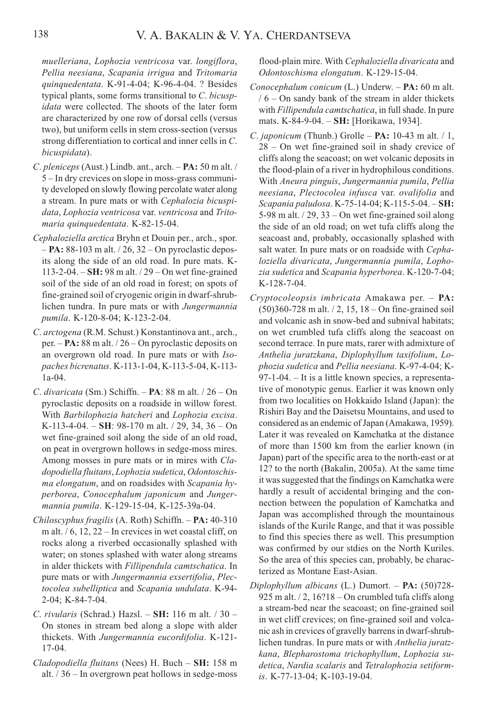muelleriana, Lophozia ventricosa var. longiflora, Pellia neesiana, Scapania irrigua and Tritomaria quinquedentata. K-91-4-04; K-96-4-04. ? Besides typical plants, some forms transitional to C. bicuspidata were collected. The shoots of the later form are characterized by one row of dorsal cells (versus two), but uniform cells in stem cross-section (versus strong differentiation to cortical and inner cells in C. bicuspidata).

- C. pleniceps (Aust.) Lindb. ant., arch. PA: 50 m alt. / 5 – In dry crevices on slope in moss-grass community developed on slowly flowing percolate water along a stream. In pure mats or with Cephalozia bicuspidata, Lophozia ventricosa var. ventricosa and Tritomaria quinquedentata. K-82-15-04.
- Cephaloziella arctica Bryhn et Douin per., arch., spor. – PA: 88-103 m alt. / 26, 32 – On pyroclastic deposits along the side of an old road. In pure mats. K-113-2-04. – SH: 98 m alt. / 29 – On wet fine-grained soil of the side of an old road in forest; on spots of fine-grained soil of cryogenic origin in dwarf-shrublichen tundra. In pure mats or with Jungermannia pumila. K-120-8-04; K-123-2-04.
- C. arctogena (R.M. Schust.) Konstantinova ant., arch., per. – PA: 88 m alt. / 26 – On pyroclastic deposits on an overgrown old road. In pure mats or with Isopaches bicrenatus. K-113-1-04, K-113-5-04, K-113- 1a-04.
- C. divaricata (Sm.) Schiffn.  $PA$ : 88 m alt.  $/ 26 On$ pyroclastic deposits on a roadside in willow forest. With Barbilophozia hatcheri and Lophozia excisa. K-113-4-04. – SH: 98-170 m alt.  $/$  29, 34, 36 – On wet fine-grained soil along the side of an old road, on peat in overgrown hollows in sedge-moss mires. Among mosses in pure mats or in mires with Cladopodiella fluitans, Lophozia sudetica, Odontoschisma elongatum, and on roadsides with Scapania hyperborea, Conocephalum japonicum and Jungermannia pumila. K-129-15-04, K-125-39a-04.
- Chiloscyphus fragilis (A. Roth) Schiffn. PA: 40-310 m alt.  $/ 6$ , 12, 22 – In crevices in wet coastal cliff, on rocks along a riverbed occasionally splashed with water; on stones splashed with water along streams in alder thickets with Fillipendula camtschatica. In pure mats or with Jungermannia exsertifolia, Plectocolea subelliptica and Scapania undulata. K-94- 2-04; K-84-7-04.
- C. rivularis (Schrad.) Hazsl.  $SH: 116$  m alt.  $/30$  -On stones in stream bed along a slope with alder thickets. With Jungermannia eucordifolia. K-121- 17-04.
- Cladopodiella fluitans (Nees) H. Buch SH: 158 m alt. / 36 – In overgrown peat hollows in sedge-moss

flood-plain mire. With Cephaloziella divaricata and Odontoschisma elongatum. K-129-15-04.

- Conocephalum conicum (L.) Underw. PA: 60 m alt. / 6 – On sandy bank of the stream in alder thickets with Fillipendula camtschatica, in full shade. In pure mats. K-84-9-04. – **SH:** [Horikawa, 1934].
- C. japonicum (Thunb.) Grolle  $PA: 10-43$  m alt. / 1, 28 – On wet fine-grained soil in shady crevice of cliffs along the seacoast; on wet volcanic deposits in the flood-plain of a river in hydrophilous conditions. With Aneura pinguis, Jungermannia pumila, Pellia neesiana, Plectocolea infusca var. ovalifolia and Scapania paludosa. K-75-14-04; K-115-5-04. – SH: 5-98 m alt.  $/$  29, 33 – On wet fine-grained soil along the side of an old road; on wet tufa cliffs along the seacoast and, probably, occasionally splashed with salt water. In pure mats or on roadside with Cephaloziella divaricata, Jungermannia pumila, Lophozia sudetica and Scapania hyperborea. K-120-7-04; K-128-7-04.
- Cryptocoleopsis imbricata Amakawa per. PA: (50)360-728 m alt. / 2, 15, 18 – On fine-grained soil and volcanic ash in snow-bed and subnival habitats; on wet crumbled tufa cliffs along the seacoast on second terrace. In pure mats, rarer with admixture of Anthelia juratzkana, Diplophyllum taxifolium, Lophozia sudetica and Pellia neesiana. K-97-4-04; K-97-1-04. – It is a little known species, a representative of monotypic genus. Earlier it was known only from two localities on Hokkaido Island (Japan): the Rishiri Bay and the Daisetsu Mountains, and used to considered as an endemic of Japan (Amakawa, 1959). Later it was revealed on Kamchatka at the distance of more than 1500 km from the earlier known (in Japan) part of the specific area to the north-east or at 12? to the north (Bakalin, 2005a). At the same time it was suggested that the findings on Kamchatka were hardly a result of accidental bringing and the connection between the population of Kamchatka and Japan was accomplished through the mountainous islands of the Kurile Range, and that it was possible to find this species there as well. This presumption was confirmed by our stdies on the North Kuriles. So the area of this species can, probably, be characterized as Montane East-Asian.
- Diplophyllum albicans (L.) Dumort. PA: (50)728- 925 m alt. / 2, 16?18 – On crumbled tufa cliffs along a stream-bed near the seacoast; on fine-grained soil in wet cliff crevices; on fine-grained soil and volcanic ash in crevices of gravelly barrens in dwarf-shrublichen tundras. In pure mats or with Anthelia juratzkana, Blepharostoma trichophyllum, Lophozia sudetica, Nardia scalaris and Tetralophozia setiformis. K-77-13-04; K-103-19-04.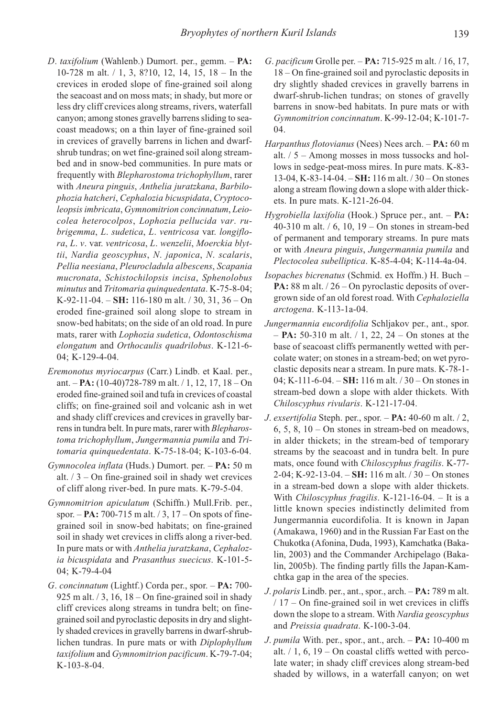- D. taxifolium (Wahlenb.) Dumort. per., gemm. PA: 10-728 m alt. / 1, 3, 8?10, 12, 14, 15, 18 – In the crevices in eroded slope of fine-grained soil along the seacoast and on moss mats; in shady, but more or less dry cliff crevices along streams, rivers, waterfall canyon; among stones gravelly barrens sliding to seacoast meadows; on a thin layer of fine-grained soil in crevices of gravelly barrens in lichen and dwarfshrub tundras; on wet fine-grained soil along streambed and in snow-bed communities. In pure mats or frequently with Blepharostoma trichophyllum, rarer with Aneura pinguis, Anthelia juratzkana, Barbilophozia hatcheri, Cephalozia bicuspidata, Cryptocoleopsis imbricata, Gymnomitrion concinnatum, Leiocolea heterocolpos, Lophozia pellucida var. rubrigemma, L. sudetica, L. ventricosa var. longiflora, L. v. var. ventricosa, L. wenzelii, Moerckia blyttii, Nardia geoscyphus, N. japonica, N. scalaris, Pellia neesiana, Pleurocladula albescens, Scapania mucronata, Schistochilopsis incisa, Sphenolobus minutus and Tritomaria quinquedentata. K-75-8-04; K-92-11-04. –  $SH: 116-180$  m alt.  $/30, 31, 36 - On$ eroded fine-grained soil along slope to stream in snow-bed habitats; on the side of an old road. In pure mats, rarer with Lophozia sudetica, Odontoschisma elongatum and Orthocaulis quadrilobus. K-121-6- 04; K-129-4-04.
- Eremonotus myriocarpus (Carr.) Lindb. et Kaal. per., ant. – PA:  $(10-40)728-789$  m alt.  $/ 1, 12, 17, 18 - On$ eroded fine-grained soil and tufa in crevices of coastal cliffs; on fine-grained soil and volcanic ash in wet and shady cliff crevices and crevices in gravelly barrens in tundra belt. In pure mats, rarer with *Blepharos*toma trichophyllum, Jungermannia pumila and Tritomaria quinquedentata. K-75-18-04; K-103-6-04.
- Gymnocolea inflata (Huds.) Dumort. per. PA: 50 m alt.  $/3$  – On fine-grained soil in shady wet crevices of cliff along river-bed. In pure mats. K-79-5-04.
- Gymnomitrion apiculatum (Schiffn.) Mull.Frib. per., spor.  $-$  **PA:** 700-715 m alt.  $/3$ , 17 – On spots of finegrained soil in snow-bed habitats; on fine-grained soil in shady wet crevices in cliffs along a river-bed. In pure mats or with Anthelia juratzkana, Cephalozia bicuspidata and Prasanthus suecicus. K-101-5- 04; K-79-4-04
- G. concinnatum (Lightf.) Corda per., spor. PA: 700- 925 m alt.  $/3$ , 16, 18 – On fine-grained soil in shady cliff crevices along streams in tundra belt; on finegrained soil and pyroclastic deposits in dry and slightly shaded crevices in gravelly barrens in dwarf-shrublichen tundras. In pure mats or with Diplophyllum taxifolium and Gymnomitrion pacificum. K-79-7-04; K-103-8-04.
- G. pacificum Grolle per. PA: 715-925 m alt. / 16, 17, 18 – On fine-grained soil and pyroclastic deposits in dry slightly shaded crevices in gravelly barrens in dwarf-shrub-lichen tundras; on stones of gravelly barrens in snow-bed habitats. In pure mats or with Gymnomitrion concinnatum. K-99-12-04; K-101-7- 04.
- Harpanthus flotovianus (Nees) Nees arch. PA: 60 m alt. / 5 – Among mosses in moss tussocks and hollows in sedge-peat-moss mires. In pure mats. K-83- 13-04, K-83-14-04,  $-SH$ : 116 m alt.  $/30 - On$  stones along a stream flowing down a slope with alder thickets. In pure mats. K-121-26-04.
- Hygrobiella laxifolia (Hook.) Spruce per., ant. PA: 40-310 m alt. / 6, 10, 19 – On stones in stream-bed of permanent and temporary streams. In pure mats or with Aneura pinguis, Jungermannia pumila and Plectocolea subelliptica. K-85-4-04; K-114-4a-04.
- Isopaches bicrenatus (Schmid. ex Hoffm.) H. Buch **PA:** 88 m alt.  $/26 -$ On pyroclastic deposits of overgrown side of an old forest road. With Cephaloziella arctogena. K-113-1a-04.
- Jungermannia eucordifolia Schljakov per., ant., spor.  $-$  **PA:** 50-310 m alt.  $/$  1, 22, 24 – On stones at the base of seacoast cliffs permanently wetted with percolate water; on stones in a stream-bed; on wet pyroclastic deposits near a stream. In pure mats. K-78-1- 04; K-111-6-04. – SH: 116 m alt. / 30 – On stones in stream-bed down a slope with alder thickets. With Chiloscyphus rivularis. K-121-17-04.
- *J. exsertifolia* Steph. per., spor.  $PA: 40-60$  m alt.  $/ 2$ ,  $6, 5, 8, 10 - On$  stones in stream-bed on meadows, in alder thickets; in the stream-bed of temporary streams by the seacoast and in tundra belt. In pure mats, once found with Chiloscyphus fragilis. K-77- 2-04; K-92-13-04. – SH: 116 m alt. / 30 – On stones in a stream-bed down a slope with alder thickets. With Chiloscyphus fragilis. K-121-16-04. – It is a little known species indistinctly delimited from Jungermannia eucordifolia. It is known in Japan (Amakawa, 1960) and in the Russian Far East on the Chukotka (Afonina, Duda, 1993), Kamchatka (Bakalin, 2003) and the Commander Archipelago (Bakalin, 2005b). The finding partly fills the Japan-Kamchtka gap in the area of the species.
- J. polaris Lindb. per., ant., spor., arch. PA: 789 m alt. / 17 – On fine-grained soil in wet crevices in cliffs down the slope to a stream. With Nardia geoscyphus and Preissia quadrata. K-100-3-04.
- J. pumila With. per., spor., ant., arch.  $PA: 10-400$  m alt.  $/ 1$ , 6, 19 – On coastal cliffs wetted with percolate water; in shady cliff crevices along stream-bed shaded by willows, in a waterfall canyon; on wet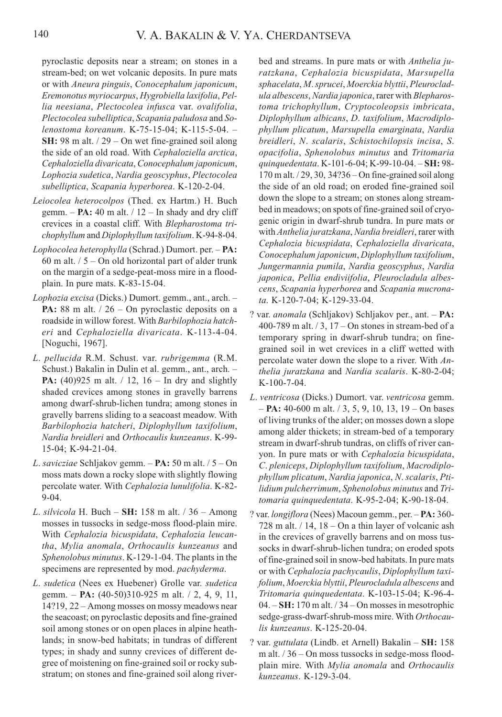pyroclastic deposits near a stream; on stones in a stream-bed; on wet volcanic deposits. In pure mats or with Aneura pinguis, Conocephalum japonicum, Eremonotus myriocarpus, Hygrobiella laxifolia, Pellia neesiana, Plectocolea infusca var. ovalifolia, Plectocolea subelliptica, Scapania paludosa and Solenostoma koreanum. K-75-15-04; K-115-5-04. – SH: 98 m alt. / 29 – On wet fine-grained soil along the side of an old road. With Cephaloziella arctica, Cephaloziella divaricata, Conocephalum japonicum, Lophozia sudetica, Nardia geoscyphus, Plectocolea subelliptica, Scapania hyperborea. K-120-2-04.

- Leiocolea heterocolpos (Thed. ex Hartm.) H. Buch gemm.  $- PA: 40$  m alt.  $/ 12 - In$  shady and dry cliff crevices in a coastal cliff. With Blepharostoma trichophyllum and Diplophyllum taxifolium. K-94-8-04.
- Lophocolea heterophylla (Schrad.) Dumort. per. PA: 60 m alt.  $/ 5 -$ On old horizontal part of alder trunk on the margin of a sedge-peat-moss mire in a floodplain. In pure mats. K-83-15-04.
- Lophozia excisa (Dicks.) Dumort. gemm., ant., arch. PA: 88 m alt. / 26 – On pyroclastic deposits on a roadside in willow forest. With Barbilophozia hatcheri and Cephaloziella divaricata. K-113-4-04. [Noguchi, 1967].
- L. pellucida R.M. Schust. var. rubrigemma (R.M. Schust.) Bakalin in Dulin et al. gemm., ant., arch. – **PA:**  $(40)925$  m alt.  $/ 12$ ,  $16 - \text{In dry and slightly}$ shaded crevices among stones in gravelly barrens among dwarf-shrub-lichen tundra; among stones in gravelly barrens sliding to a seacoast meadow. With Barbilophozia hatcheri, Diplophyllum taxifolium, Nardia breidleri and Orthocaulis kunzeanus. K-99- 15-04; K-94-21-04.
- L. savicziae Schljakov gemm. PA: 50 m alt. / 5 On moss mats down a rocky slope with slightly flowing percolate water. With Cephalozia lunulifolia. K-82- 9-04.
- L. silvicola H. Buch  $SH: 158$  m alt. / 36 Among mosses in tussocks in sedge-moss flood-plain mire. With Cephalozia bicuspidata, Cephalozia leucantha, Mylia anomala, Orthocaulis kunzeanus and Sphenolobus minutus. K-129-1-04. The plants in the specimens are represented by mod. pachyderma.
- L. sudetica (Nees ex Huebener) Grolle var. sudetica gemm. – **PA:**  $(40-50)310-925$  m alt.  $/ 2$ , 4, 9, 11, 14?19, 22 – Among mosses on mossy meadows near the seacoast; on pyroclastic deposits and fine-grained soil among stones or on open places in alpine heathlands; in snow-bed habitats; in tundras of different types; in shady and sunny crevices of different degree of moistening on fine-grained soil or rocky substratum; on stones and fine-grained soil along river-

bed and streams. In pure mats or with *Anthelia ju*ratzkana, Cephalozia bicuspidata, Marsupella sphacelata, M. sprucei, Moerckia blyttii, Pleurocladula albescens, Nardia japonica, rarer with Blepharostoma trichophyllum, Cryptocoleopsis imbricata, Diplophyllum albicans, D. taxifolium, Macrodiplophyllum plicatum, Marsupella emarginata, Nardia breidleri, N. scalaris, Schistochilopsis incisa, S. opacifolia, Sphenolobus minutus and Tritomaria quinquedentata. K-101-6-04; K-99-10-04. - SH: 98-170 m alt. / 29, 30, 34?36 – On fine-grained soil along the side of an old road; on eroded fine-grained soil down the slope to a stream; on stones along streambed in meadows; on spots of fine-grained soil of cryogenic origin in dwarf-shrub tundra. In pure mats or with Anthelia juratzkana, Nardia breidleri, rarer with Cephalozia bicuspidata, Cephaloziella divaricata, Conocephalum japonicum, Diplophyllum taxifolium, Jungermannia pumila, Nardia geoscyphus, Nardia japonica, Pellia endiviifolia, Pleurocladula albescens, Scapania hyperborea and Scapania mucronata. K-120-7-04; K-129-33-04.

- ? var. anomala (Schljakov) Schljakov per., ant. PA: 400-789 m alt.  $/3$ , 17 – On stones in stream-bed of a temporary spring in dwarf-shrub tundra; on finegrained soil in wet crevices in a cliff wetted with percolate water down the slope to a river. With  $An$ thelia juratzkana and Nardia scalaris. K-80-2-04; K-100-7-04.
- L. ventricosa (Dicks.) Dumort. var. ventricosa gemm.  $-$  **PA:** 40-600 m alt.  $/$  3, 5, 9, 10, 13, 19 – On bases of living trunks of the alder; on mosses down a slope among alder thickets; in stream-bed of a temporary stream in dwarf-shrub tundras, on cliffs of river canyon. In pure mats or with Cephalozia bicuspidata, C. pleniceps, Diplophyllum taxifolium, Macrodiplophyllum plicatum, Nardia japonica, N. scalaris, Ptilidium pulcherrimum, Sphenolobus minutus and Tritomaria quinquedentata. K-95-2-04; K-90-18-04.
- ? var. longiflora (Nees) Macoun gemm., per. PA: 360- 728 m alt. / 14, 18 – On a thin layer of volcanic ash in the crevices of gravelly barrens and on moss tussocks in dwarf-shrub-lichen tundra; on eroded spots of fine-grained soil in snow-bed habitats. In pure mats or with Cephalozia pachycaulis, Diplophyllum taxifolium, Moerckia blyttii, Pleurocladula albescens and Tritomaria quinquedentata. K-103-15-04; K-96-4-  $04. - SH: 170$  m alt.  $/ 34 - On$  mosses in mesotrophic sedge-grass-dwarf-shrub-moss mire. With Orthocaulis kunzeanus. K-125-20-04.
- ? var. guttulata (Lindb. et Arnell) Bakalin SH: 158 m alt. / 36 – On moss tussocks in sedge-moss floodplain mire. With Mylia anomala and Orthocaulis kunzeanus. K-129-3-04.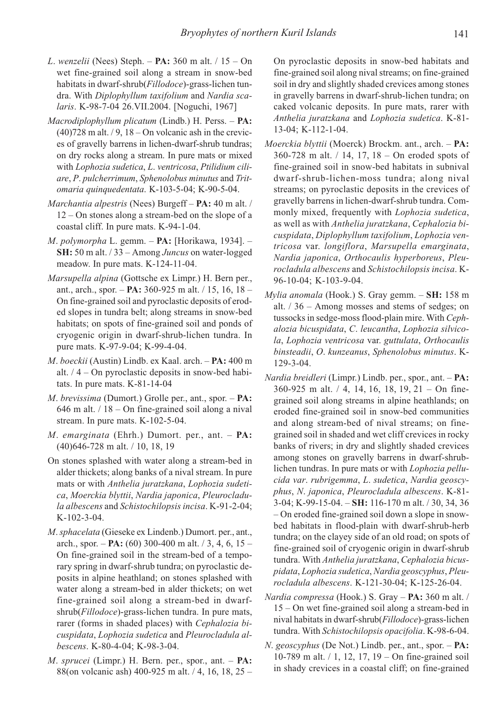- L. wenzelii (Nees) Steph.  $PA: 360$  m alt.  $/ 15 On$ wet fine-grained soil along a stream in snow-bed habitats in dwarf-shrub(Fillodoce)-grass-lichen tundra. With Diplophyllum taxifolium and Nardia scalaris. K-98-7-04 26.VII.2004. [Noguchi, 1967]
- Macrodiplophyllum plicatum (Lindb.) H. Perss. PA:  $(40)728$  m alt.  $/9$ ,  $18 -$ On volcanic ash in the crevices of gravelly barrens in lichen-dwarf-shrub tundras; on dry rocks along a stream. In pure mats or mixed with Lophozia sudetica, L. ventricosa, Ptilidium ciliare, P. pulcherrimum, Sphenolobus minutus and Tritomaria quinquedentata. K-103-5-04; K-90-5-04.
- Marchantia alpestris (Nees) Burgeff PA: 40 m alt. / 12 – On stones along a stream-bed on the slope of a coastal cliff. In pure mats. K-94-1-04.
- *M. polymorpha* L. gemm.  $PA$ : [Horikawa, 1934].  $-$ SH: 50 m alt. / 33 – Among Juncus on water-logged meadow. In pure mats. K-124-11-04.
- Marsupella alpina (Gottsche ex Limpr.) H. Bern per., ant., arch., spor. – PA: 360-925 m alt. / 15, 16, 18 – On fine-grained soil and pyroclastic deposits of eroded slopes in tundra belt; along streams in snow-bed habitats; on spots of fine-grained soil and ponds of cryogenic origin in dwarf-shrub-lichen tundra. In pure mats. K-97-9-04; K-99-4-04.
- M. boeckii (Austin) Lindb. ex Kaal. arch. PA: 400 m alt.  $/4 -$ On pyroclastic deposits in snow-bed habitats. In pure mats. K-81-14-04
- *M. brevissima* (Dumort.) Grolle per., ant., spor.  $PA$ : 646 m alt. / 18 – On fine-grained soil along a nival stream. In pure mats. K-102-5-04.
- M. emarginata (Ehrh.) Dumort. per., ant.  $PA$ : (40)646-728 m alt. / 10, 18, 19
- On stones splashed with water along a stream-bed in alder thickets; along banks of a nival stream. In pure mats or with Anthelia juratzkana, Lophozia sudetica, Moerckia blyttii, Nardia japonica, Pleurocladula albescens and Schistochilopsis incisa. K-91-2-04; K-102-3-04.
- M. sphacelata (Gieseke ex Lindenb.) Dumort. per., ant., arch., spor. – **PA:** (60) 300-400 m alt.  $/3$ , 4, 6, 15 – On fine-grained soil in the stream-bed of a temporary spring in dwarf-shrub tundra; on pyroclastic deposits in alpine heathland; on stones splashed with water along a stream-bed in alder thickets; on wet fine-grained soil along a stream-bed in dwarfshrub(Fillodoce)-grass-lichen tundra. In pure mats, rarer (forms in shaded places) with Cephalozia bicuspidata, Lophozia sudetica and Pleurocladula albescens. K-80-4-04; K-98-3-04.
- $M.$  sprucei (Limpr.) H. Bern. per., spor., ant.  $PA$ : 88(on volcanic ash) 400-925 m alt. / 4, 16, 18, 25 –

On pyroclastic deposits in snow-bed habitats and fine-grained soil along nival streams; on fine-grained soil in dry and slightly shaded crevices among stones in gravelly barrens in dwarf-shrub-lichen tundra; on caked volcanic deposits. In pure mats, rarer with Anthelia juratzkana and Lophozia sudetica. K-81- 13-04; K-112-1-04.

- Moerckia blyttii (Moerck) Brockm. ant., arch. PA: 360-728 m alt. / 14, 17, 18 – On eroded spots of fine-grained soil in snow-bed habitats in subnival dwarf-shrub-lichen-moss tundra; along nival streams; on pyroclastic deposits in the crevices of gravelly barrens in lichen-dwarf-shrub tundra. Commonly mixed, frequently with Lophozia sudetica, as well as with Anthelia juratzkana, Cephalozia bicuspidata, Diplophyllum taxifolium, Lophozia ventricosa var. longiflora, Marsupella emarginata, Nardia japonica, Orthocaulis hyperboreus, Pleurocladula albescens and Schistochilopsis incisa. K-96-10-04; K-103-9-04.
- Mylia anomala (Hook.) S. Gray gemm. SH: 158 m alt. / 36 – Among mosses and stems of sedges; on tussocks in sedge-moss flood-plain mire. With Cephalozia bicuspidata, C. leucantha, Lophozia silvicola, Lophozia ventricosa var. guttulata, Orthocaulis binsteadii, O. kunzeanus, Sphenolobus minutus. K-129-3-04.
- Nardia breidleri (Limpr.) Lindb. per., spor., ant. PA: 360-925 m alt. / 4, 14, 16, 18, 19, 21 – On finegrained soil along streams in alpine heathlands; on eroded fine-grained soil in snow-bed communities and along stream-bed of nival streams; on finegrained soil in shaded and wet cliff crevices in rocky banks of rivers; in dry and slightly shaded crevices among stones on gravelly barrens in dwarf-shrublichen tundras. In pure mats or with Lophozia pellucida var. rubrigemma, L. sudetica, Nardia geoscyphus, N. japonica, Pleurocladula albescens. K-81- 3-04; K-99-15-04. – SH: 116-170 m alt. / 30, 34, 36 – On eroded fine-grained soil down a slope in snowbed habitats in flood-plain with dwarf-shrub-herb tundra; on the clayey side of an old road; on spots of fine-grained soil of cryogenic origin in dwarf-shrub tundra. With Anthelia juratzkana, Cephalozia bicuspidata, Lophozia sudetica, Nardia geoscyphus, Pleurocladula albescens. K-121-30-04; K-125-26-04.
- Nardia compressa (Hook.) S. Gray PA: 360 m alt. / 15 – On wet fine-grained soil along a stream-bed in nival habitats in dwarf-shrub(Fillodoce)-grass-lichen tundra. With Schistochilopsis opacifolia. K-98-6-04.
- N. geoscyphus (De Not.) Lindb. per., ant., spor. PA: 10-789 m alt. / 1, 12, 17, 19 – On fine-grained soil in shady crevices in a coastal cliff; on fine-grained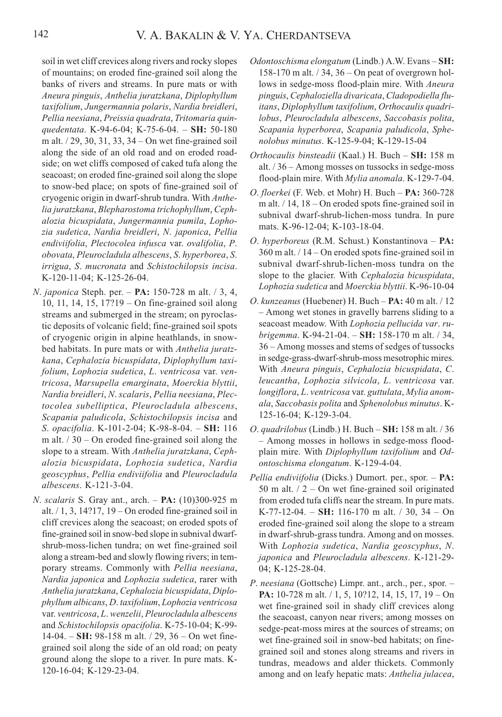soil in wet cliff crevices along rivers and rocky slopes of mountains; on eroded fine-grained soil along the banks of rivers and streams. In pure mats or with Aneura pinguis, Anthelia juratzkana, Diplophyllum taxifolium, Jungermannia polaris, Nardia breidleri, Pellia neesiana, Preissia quadrata, Tritomaria quinquedentata. K-94-6-04; K-75-6-04. - SH: 50-180 m alt. / 29, 30, 31, 33, 34 – On wet fine-grained soil along the side of an old road and on eroded roadside; on wet cliffs composed of caked tufa along the seacoast; on eroded fine-grained soil along the slope to snow-bed place; on spots of fine-grained soil of cryogenic origin in dwarf-shrub tundra. With Anthelia juratzkana, Blepharostoma trichophyllum, Cephalozia bicuspidata, Jungermannia pumila, Lophozia sudetica, Nardia breidleri, N. japonica, Pellia endiviifolia, Plectocolea infusca var. ovalifolia, P. obovata, Pleurocladula albescens, S. hyperborea, S. irrigua, S. mucronata and Schistochilopsis incisa. K-120-11-04; K-125-26-04.

- N. japonica Steph. per. **PA:** 150-728 m alt. / 3, 4, 10, 11, 14, 15, 17?19 – On fine-grained soil along streams and submerged in the stream; on pyroclastic deposits of volcanic field; fine-grained soil spots of cryogenic origin in alpine heathlands, in snowbed habitats. In pure mats or with Anthelia juratzkana, Cephalozia bicuspidata, Diplophyllum taxifolium, Lophozia sudetica, L. ventricosa var. ventricosa, Marsupella emarginata, Moerckia blyttii, Nardia breidleri, N. scalaris, Pellia neesiana, Plectocolea subelliptica, Pleurocladula albescens, Scapania paludicola, Schistochilopsis incisa and S. opacifolia. K-101-2-04; K-98-8-04. – SH: 116 m alt.  $/30 -$ On eroded fine-grained soil along the slope to a stream. With Anthelia juratzkana, Cephalozia bicuspidata, Lophozia sudetica, Nardia geoscyphus, Pellia endiviifolia and Pleurocladula albescens. K-121-3-04.
- N. scalaris S. Gray ant., arch. PA: (10)300-925 m alt.  $/ 1$ , 3, 14?17, 19 – On eroded fine-grained soil in cliff crevices along the seacoast; on eroded spots of fine-grained soil in snow-bed slope in subnival dwarfshrub-moss-lichen tundra; on wet fine-grained soil along a stream-bed and slowly flowing rivers; in temporary streams. Commonly with Pellia neesiana, Nardia japonica and Lophozia sudetica, rarer with Anthelia juratzkana, Cephalozia bicuspidata, Diplophyllum albicans, D. taxifolium, Lophozia ventricosa var. ventricosa, L. wenzelii, Pleurocladula albescens and Schistochilopsis opacifolia. K-75-10-04; K-99- 14-04. – SH: 98-158 m alt.  $/$  29, 36 – On wet finegrained soil along the side of an old road; on peaty ground along the slope to a river. In pure mats. K-120-16-04; K-129-23-04.
- Odontoschisma elongatum (Lindb.) A.W. Evans SH: 158-170 m alt. / 34, 36 – On peat of overgrown hollows in sedge-moss flood-plain mire. With Aneura pinguis, Cephaloziella divaricata, Cladopodiella fluitans, Diplophyllum taxifolium, Orthocaulis quadrilobus, Pleurocladula albescens, Saccobasis polita, Scapania hyperborea, Scapania paludicola, Sphenolobus minutus. K-125-9-04; K-129-15-04
- Orthocaulis binsteadii (Kaal.) H. Buch SH: 158 m alt. / 36 – Among mosses on tussocks in sedge-moss flood-plain mire. With *Mylia anomala*, K-129-7-04.
- O. floerkei (F. Web. et Mohr) H. Buch PA: 360-728 m alt. / 14, 18 – On eroded spots fine-grained soil in subnival dwarf-shrub-lichen-moss tundra. In pure mats. K-96-12-04; K-103-18-04.
- O. hyperboreus (R.M. Schust.) Konstantinova PA: 360 m alt. / 14 – On eroded spots fine-grained soil in subnival dwarf-shrub-lichen-moss tundra on the slope to the glacier. With Cephalozia bicuspidata, Lophozia sudetica and Moerckia blyttii. K-96-10-04
- O. kunzeanus (Huebener) H. Buch PA: 40 m alt. / 12 – Among wet stones in gravelly barrens sliding to a seacoast meadow. With Lophozia pellucida var. rubrigemma. K-94-21-04. – SH: 158-170 m alt.  $/$  34, 36 – Among mosses and stems of sedges of tussocks in sedge-grass-dwarf-shrub-moss mesotrophic mires. With Aneura pinguis, Cephalozia bicuspidata, C. leucantha, Lophozia silvicola, L. ventricosa var. longiflora, L. ventricosa var. guttulata, Mylia anomala, Saccobasis polita and Sphenolobus minutus. K-125-16-04; K-129-3-04.
- O. quadrilobus (Lindb.) H. Buch SH: 158 m alt. / 36 – Among mosses in hollows in sedge-moss floodplain mire. With Diplophyllum taxifolium and Odontoschisma elongatum. K-129-4-04.
- Pellia endiviifolia (Dicks.) Dumort. per., spor. PA: 50 m alt.  $/2$  – On wet fine-grained soil originated from eroded tufa cliffs near the stream. In pure mats. K-77-12-04. – SH: 116-170 m alt.  $/30$ , 34 – On eroded fine-grained soil along the slope to a stream in dwarf-shrub-grass tundra. Among and on mosses. With Lophozia sudetica, Nardia geoscyphus, N. japonica and Pleurocladula albescens. K-121-29- 04; K-125-28-04.
- P. neesiana (Gottsche) Limpr. ant., arch., per., spor. PA: 10-728 m alt. / 1, 5, 10?12, 14, 15, 17, 19 – On wet fine-grained soil in shady cliff crevices along the seacoast, canyon near rivers; among mosses on sedge-peat-moss mires at the sources of streams; on wet fine-grained soil in snow-bed habitats; on finegrained soil and stones along streams and rivers in tundras, meadows and alder thickets. Commonly among and on leafy hepatic mats: Anthelia julacea,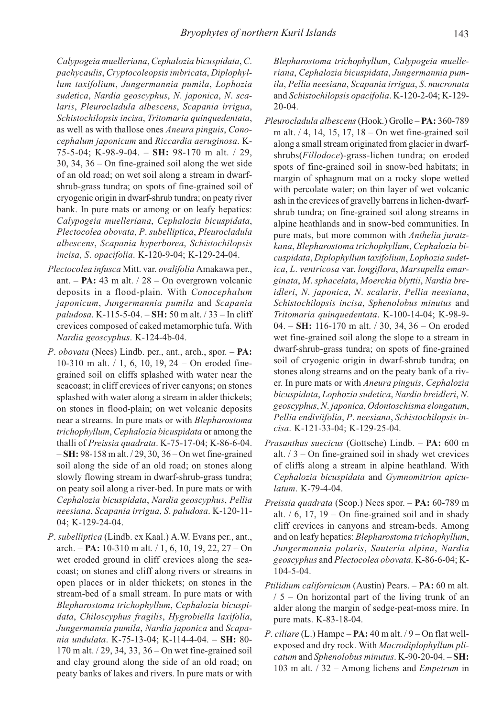Calypogeia muelleriana, Cephalozia bicuspidata, C. pachycaulis, Cryptocoleopsis imbricata, Diplophyllum taxifolium, Jungermannia pumila, Lophozia sudetica, Nardia geoscyphus, N. japonica, N. scalaris, Pleurocladula albescens, Scapania irrigua, Schistochilopsis incisa, Tritomaria quinquedentata, as well as with thallose ones Aneura pinguis, Conocephalum japonicum and Riccardia aeruginosa. K-75-5-04; K-98-9-04. – SH: 98-170 m alt. / 29, 30, 34, 36 – On fine-grained soil along the wet side of an old road; on wet soil along a stream in dwarfshrub-grass tundra; on spots of fine-grained soil of cryogenic origin in dwarf-shrub tundra; on peaty river bank. In pure mats or among or on leafy hepatics: Calypogeia muelleriana, Cephalozia bicuspidata, Plectocolea obovata, P. subelliptica, Pleurocladula albescens, Scapania hyperborea, Schistochilopsis incisa, S. opacifolia. K-120-9-04; K-129-24-04.

- Plectocolea infusca Mitt. var. ovalifolia Amakawa per., ant. –  $PA: 43$  m alt.  $/ 28 - On$  overgrown volcanic deposits in a flood-plain. With Conocephalum japonicum, Jungermannia pumila and Scapania paludosa. K-115-5-04. – SH: 50 m alt. / 33 – In cliff crevices composed of caked metamorphic tufa. With Nardia geoscyphus. K-124-4b-04.
- P. obovata (Nees) Lindb. per., ant., arch., spor. PA: 10-310 m alt. / 1, 6, 10, 19, 24 – On eroded finegrained soil on cliffs splashed with water near the seacoast; in cliff crevices of river canyons; on stones splashed with water along a stream in alder thickets; on stones in flood-plain; on wet volcanic deposits near a streams. In pure mats or with Blepharostoma trichophyllum, Cephalozia bicuspidata or among the thalli of Preissia quadrata. K-75-17-04; K-86-6-04. – SH: 98-158 m alt. / 29, 30, 36 – On wet fine-grained soil along the side of an old road; on stones along slowly flowing stream in dwarf-shrub-grass tundra; on peaty soil along a river-bed. In pure mats or with Cephalozia bicuspidata, Nardia geoscyphus, Pellia neesiana, Scapania irrigua, S. paludosa. K-120-11- 04; K-129-24-04.
- P. subelliptica (Lindb. ex Kaal.) A.W. Evans per., ant., arch. – PA: 10-310 m alt.  $/ 1, 6, 10, 19, 22, 27 - On$ wet eroded ground in cliff crevices along the seacoast; on stones and cliff along rivers or streams in open places or in alder thickets; on stones in the stream-bed of a small stream. In pure mats or with Blepharostoma trichophyllum, Cephalozia bicuspidata, Chiloscyphus fragilis, Hygrobiella laxifolia, Jungermannia pumila, Nardia japonica and Scapania undulata. K-75-13-04; K-114-4-04. – SH: 80- 170 m alt. / 29, 34, 33, 36 – On wet fine-grained soil and clay ground along the side of an old road; on peaty banks of lakes and rivers. In pure mats or with

Blepharostoma trichophyllum, Calypogeia muelleriana, Cephalozia bicuspidata, Jungermannia pumila, Pellia neesiana, Scapania irrigua, S. mucronata and Schistochilopsis opacifolia. K-120-2-04; K-129- 20-04.

- Pleurocladula albescens (Hook.) Grolle PA: 360-789 m alt. / 4, 14, 15, 17, 18 – On wet fine-grained soil along a small stream originated from glacier in dwarfshrubs(Fillodoce)-grass-lichen tundra; on eroded spots of fine-grained soil in snow-bed habitats; in margin of sphagnum mat on a rocky slope wetted with percolate water; on thin layer of wet volcanic ash in the crevices of gravelly barrens in lichen-dwarfshrub tundra; on fine-grained soil along streams in alpine heathlands and in snow-bed communities. In pure mats, but more common with Anthelia juratzkana, Blepharostoma trichophyllum, Cephalozia bicuspidata, Diplophyllum taxifolium, Lophozia sudetica, L. ventricosa var. longiflora, Marsupella emarginata, M. sphacelata, Moerckia blyttii, Nardia breidleri, N. japonica, N. scalaris, Pellia neesiana, Schistochilopsis incisa, Sphenolobus minutus and Tritomaria quinquedentata. K-100-14-04; K-98-9- 04. – SH: 116-170 m alt. / 30, 34, 36 – On eroded wet fine-grained soil along the slope to a stream in dwarf-shrub-grass tundra; on spots of fine-grained soil of cryogenic origin in dwarf-shrub tundra; on stones along streams and on the peaty bank of a river. In pure mats or with Aneura pinguis, Cephalozia bicuspidata, Lophozia sudetica, Nardia breidleri, N. geoscyphus, N. japonica, Odontoschisma elongatum, Pellia endiviifolia, P. neesiana, Schistochilopsis incisa. K-121-33-04; K-129-25-04.
- Prasanthus suecicus (Gottsche) Lindb. PA: 600 m alt.  $/3$  – On fine-grained soil in shady wet crevices of cliffs along a stream in alpine heathland. With Cephalozia bicuspidata and Gymnomitrion apiculatum. K-79-4-04.
- Preissia quadrata (Scop.) Nees spor. PA: 60-789 m alt.  $/ 6$ , 17, 19 – On fine-grained soil and in shady cliff crevices in canyons and stream-beds. Among and on leafy hepatics: Blepharostoma trichophyllum, Jungermannia polaris, Sauteria alpina, Nardia geoscyphus and Plectocolea obovata. K-86-6-04; K-104-5-04.
- Ptilidium californicum (Austin) Pears. PA: 60 m alt. / 5 – On horizontal part of the living trunk of an alder along the margin of sedge-peat-moss mire. In pure mats. K-83-18-04.
- P. ciliare (L.) Hampe  $PA: 40$  m alt.  $/9 On$  flat wellexposed and dry rock. With Macrodiplophyllum plicatum and Sphenolobus minutus. K-90-20-04. – SH: 103 m alt. / 32 – Among lichens and Empetrum in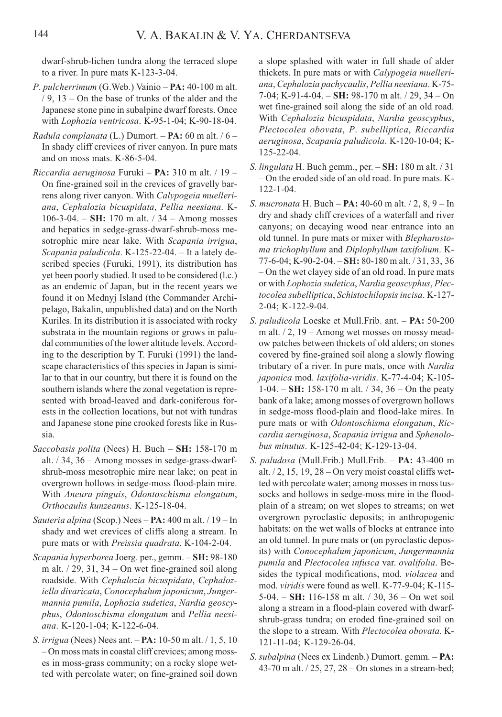dwarf-shrub-lichen tundra along the terraced slope to a river. In pure mats K-123-3-04.

- P. pulcherrimum (G.Web.) Vainio PA: 40-100 m alt. / 9, 13 – On the base of trunks of the alder and the Japanese stone pine in subalpine dwarf forests. Once with Lophozia ventricosa. K-95-1-04; K-90-18-04.
- Radula complanata (L.) Dumort.  $PA: 60$  m alt. / 6 -In shady cliff crevices of river canyon. In pure mats and on moss mats. K-86-5-04.
- Riccardia aeruginosa Furuki  $PA: 310$  m alt. / 19 On fine-grained soil in the crevices of gravelly barrens along river canyon. With Calypogeia muelleriana, Cephalozia bicuspidata, Pellia neesiana. K-106-3-04. – SH: 170 m alt.  $/ 34$  – Among mosses and hepatics in sedge-grass-dwarf-shrub-moss mesotrophic mire near lake. With Scapania irrigua, Scapania paludicola. K-125-22-04. – It a lately described species (Furuki, 1991), its distribution has yet been poorly studied. It used to be considered (l.c.) as an endemic of Japan, but in the recent years we found it on Mednyj Island (the Commander Archipelago, Bakalin, unpublished data) and on the North Kuriles. In its distribution it is associated with rocky substrata in the mountain regions or grows in paludal communities of the lower altitude levels. According to the description by T. Furuki (1991) the landscape characteristics of this species in Japan is similar to that in our country, but there it is found on the southern islands where the zonal vegetation is represented with broad-leaved and dark-coniferous forests in the collection locations, but not with tundras and Japanese stone pine crooked forests like in Russia.
- Saccobasis polita (Nees) H. Buch SH: 158-170 m alt. / 34, 36 – Among mosses in sedge-grass-dwarfshrub-moss mesotrophic mire near lake; on peat in overgrown hollows in sedge-moss flood-plain mire. With Aneura pinguis, Odontoschisma elongatum, Orthocaulis kunzeanus. K-125-18-04.
- Sauteria alpina (Scop.) Nees PA: 400 m alt. / 19 In shady and wet crevices of cliffs along a stream. In pure mats or with *Preissia quadrata*. K-104-2-04.
- Scapania hyperborea Joerg. per., gemm. SH: 98-180 m alt.  $/$  29, 31, 34 – On wet fine-grained soil along roadside. With Cephalozia bicuspidata, Cephaloziella divaricata, Conocephalum japonicum, Jungermannia pumila, Lophozia sudetica, Nardia geoscyphus, Odontoschisma elongatum and Pellia neesiana. K-120-1-04; K-122-6-04.
- S. irrigua (Nees) Nees ant. PA: 10-50 m alt. / 1, 5, 10 – On moss mats in coastal cliff crevices; among mosses in moss-grass community; on a rocky slope wetted with percolate water; on fine-grained soil down

a slope splashed with water in full shade of alder thickets. In pure mats or with *Calypogeia muelleri*ana, Cephalozia pachycaulis, Pellia neesiana. K-75- 7-04; K-91-4-04. – SH: 98-170 m alt. / 29, 34 – On wet fine-grained soil along the side of an old road. With Cephalozia bicuspidata, Nardia geoscyphus, Plectocolea obovata, P. subelliptica, Riccardia aeruginosa, Scapania paludicola. K-120-10-04; K-125-22-04.

- S. lingulata H. Buch gemm., per. SH: 180 m alt. / 31 – On the eroded side of an old road. In pure mats. K- $122 - 1 - 04$
- S. mucronata H. Buch PA: 40-60 m alt. / 2, 8, 9 In dry and shady cliff crevices of a waterfall and river canyons; on decaying wood near entrance into an old tunnel. In pure mats or mixer with Blepharostoma trichophyllum and Diplophyllum taxifolium. K-77-6-04; K-90-2-04. – SH: 80-180 m alt. / 31, 33, 36 – On the wet clayey side of an old road. In pure mats or with Lophozia sudetica, Nardia geoscyphus, Plectocolea subelliptica, Schistochilopsis incisa. K-127- 2-04; K-122-9-04.
- S. paludicola Loeske et Mull.Frib. ant. PA: 50-200 m alt.  $/2$ , 19 – Among wet mosses on mossy meadow patches between thickets of old alders; on stones covered by fine-grained soil along a slowly flowing tributary of a river. In pure mats, once with Nardia japonica mod. laxifolia-viridis. K-77-4-04; K-105- 1-04. – SH: 158-170 m alt.  $/$  34, 36 – On the peaty bank of a lake; among mosses of overgrown hollows in sedge-moss flood-plain and flood-lake mires. In pure mats or with Odontoschisma elongatum, Riccardia aeruginosa, Scapania irrigua and Sphenolobus minutus. K-125-42-04; K-129-13-04.
- S. paludosa (Mull.Frib.) Mull.Frib. PA: 43-400 m alt.  $/2$ , 15, 19, 28 – On very moist coastal cliffs wetted with percolate water; among mosses in moss tussocks and hollows in sedge-moss mire in the floodplain of a stream; on wet slopes to streams; on wet overgrown pyroclastic deposits; in anthropogenic habitats: on the wet walls of blocks at entrance into an old tunnel. In pure mats or (on pyroclastic deposits) with Conocephalum japonicum, Jungermannia pumila and Plectocolea infusca var. ovalifolia. Besides the typical modifications, mod. violacea and mod. viridis were found as well. K-77-9-04; K-115-  $5-04. - SH: 116-158$  m alt.  $/ 30, 36 - On$  wet soil along a stream in a flood-plain covered with dwarfshrub-grass tundra; on eroded fine-grained soil on the slope to a stream. With Plectocolea obovata. K-121-11-04; K-129-26-04.
- S. subalpina (Nees ex Lindenb.) Dumort. gemm. PA: 43-70 m alt. / 25, 27, 28 – On stones in a stream-bed;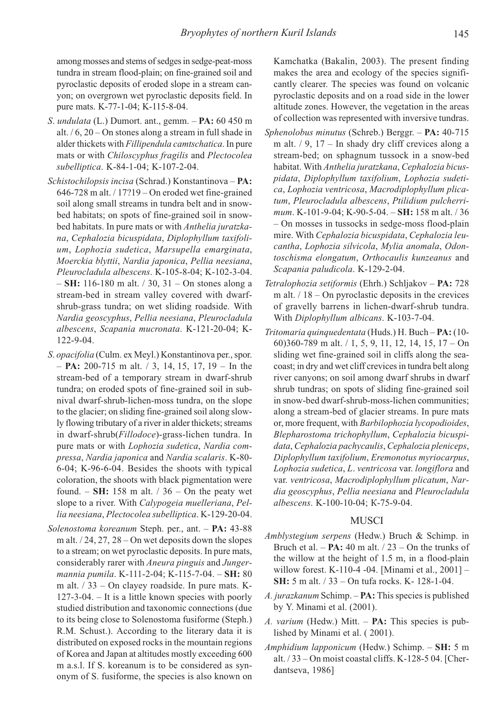among mosses and stems of sedges in sedge-peat-moss tundra in stream flood-plain; on fine-grained soil and pyroclastic deposits of eroded slope in a stream canyon; on overgrown wet pyroclastic deposits field. In pure mats. K-77-1-04; K-115-8-04.

- S. *undulata* (L.) Dumort. ant., gemm.  $PA: 60 450 m$ alt. / 6, 20 – On stones along a stream in full shade in alder thickets with Fillipendula camtschatica. In pure mats or with Chiloscyphus fragilis and Plectocolea subelliptica. K-84-1-04; K-107-2-04.
- Schistochilopsis incisa (Schrad.) Konstantinova PA: 646-728 m alt. / 17?19 – On eroded wet fine-grained soil along small streams in tundra belt and in snowbed habitats; on spots of fine-grained soil in snowbed habitats. In pure mats or with Anthelia juratzkana, Cephalozia bicuspidata, Diplophyllum taxifolium, Lophozia sudetica, Marsupella emarginata, Moerckia blyttii, Nardia japonica, Pellia neesiana, Pleurocladula albescens. K-105-8-04; K-102-3-04. – SH: 116-180 m alt. / 30, 31 – On stones along a stream-bed in stream valley covered with dwarfshrub-grass tundra; on wet sliding roadside. With Nardia geoscyphus, Pellia neesiana, Pleurocladula albescens, Scapania mucronata. K-121-20-04; K-122-9-04.
- S. opacifolia (Culm. ex Meyl.) Konstantinova per., spor.  $-$  **PA:** 200-715 m alt. / 3, 14, 15, 17, 19 – In the stream-bed of a temporary stream in dwarf-shrub tundra; on eroded spots of fine-grained soil in subnival dwarf-shrub-lichen-moss tundra, on the slope to the glacier; on sliding fine-grained soil along slowly flowing tributary of a river in alder thickets; streams in dwarf-shrub(Fillodoce)-grass-lichen tundra. In pure mats or with Lophozia sudetica, Nardia compressa, Nardia japonica and Nardia scalaris. K-80- 6-04; K-96-6-04. Besides the shoots with typical coloration, the shoots with black pigmentation were found.  $-$  SH: 158 m alt.  $/$  36  $-$  On the peaty wet slope to a river. With Calypogeia muelleriana, Pellia neesiana, Plectocolea subelliptica. K-129-20-04.
- Solenostoma koreanum Steph. per., ant. PA: 43-88 m alt. / 24, 27, 28 – On wet deposits down the slopes to a stream; on wet pyroclastic deposits. In pure mats, considerably rarer with Aneura pinguis and Jungermannia pumila. K-111-2-04; K-115-7-04. - SH: 80 m alt. / 33 – On clayey roadside. In pure mats. K-127-3-04. – It is a little known species with poorly studied distribution and taxonomic connections (due to its being close to Solenostoma fusiforme (Steph.) R.M. Schust.). According to the literary data it is distributed on exposed rocks in the mountain regions of Korea and Japan at altitudes mostly exceeding 600 m a.s.l. If S. koreanum is to be considered as synonym of S. fusiforme, the species is also known on

Kamchatka (Bakalin, 2003). The present finding makes the area and ecology of the species significantly clearer. The species was found on volcanic pyroclastic deposits and on a road side in the lower altitude zones. However, the vegetation in the areas of collection was represented with inversive tundras.

- Sphenolobus minutus (Schreb.) Berggr. PA: 40-715 m alt.  $/ 9$ ,  $17 -$  In shady dry cliff crevices along a stream-bed; on sphagnum tussock in a snow-bed habitat. With Anthelia juratzkana, Cephalozia bicuspidata, Diplophyllum taxifolium, Lophozia sudetica, Lophozia ventricosa, Macrodiplophyllum plicatum, Pleurocladula albescens, Ptilidium pulcherrimum. K-101-9-04; K-90-5-04. – SH: 158 m alt. / 36 – On mosses in tussocks in sedge-moss flood-plain mire. With Cephalozia bicuspidata, Cephalozia leucantha, Lophozia silvicola, Mylia anomala, Odontoschisma elongatum, Orthocaulis kunzeanus and Scapania paludicola. K-129-2-04.
- Tetralophozia setiformis (Ehrh.) Schljakov PA: 728 m alt.  $/ 18 -$ On pyroclastic deposits in the crevices of gravelly barrens in lichen-dwarf-shrub tundra. With Diplophyllum albicans. K-103-7-04.
- Tritomaria quinquedentata (Huds.) H. Buch PA: (10- 60)360-789 m alt. / 1, 5, 9, 11, 12, 14, 15, 17 – On sliding wet fine-grained soil in cliffs along the seacoast; in dry and wet cliff crevices in tundra belt along river canyons; on soil among dwarf shrubs in dwarf shrub tundras; on spots of sliding fine-grained soil in snow-bed dwarf-shrub-moss-lichen communities; along a stream-bed of glacier streams. In pure mats or, more frequent, with Barbilophozia lycopodioides, Blepharostoma trichophyllum, Cephalozia bicuspidata, Cephalozia pachycaulis, Cephalozia pleniceps, Diplophyllum taxifolium, Eremonotus myriocarpus, Lophozia sudetica, L. ventricosa var. longiflora and var. ventricosa, Macrodiplophyllum plicatum, Nardia geoscyphus, Pellia neesiana and Pleurocladula albescens. K-100-10-04; К-75-9-04.

## MUSCI

- Amblystegium serpens (Hedw.) Bruch & Schimp. in Bruch et al.  $- PA: 40$  m alt.  $/ 23 - On$  the trunks of the willow at the height of 1.5 m, in a flood-plain willow forest. K-110-4 -04. [Minami et al., 2001] – SH: 5 m alt. / 33 – On tufa rocks. K- 128-1-04.
- A. jurazkanum Schimp. PA: This species is published by Y. Minami et al. (2001).
- A. varium (Hedw.) Mitt. PA: This species is published by Minami et al. ( 2001).
- Amphidium lapponicum (Hedw.) Schimp. SH: 5 m alt. / 33 – On moist coastal cliffs. K-128-5 04. [Cherdantseva, 1986]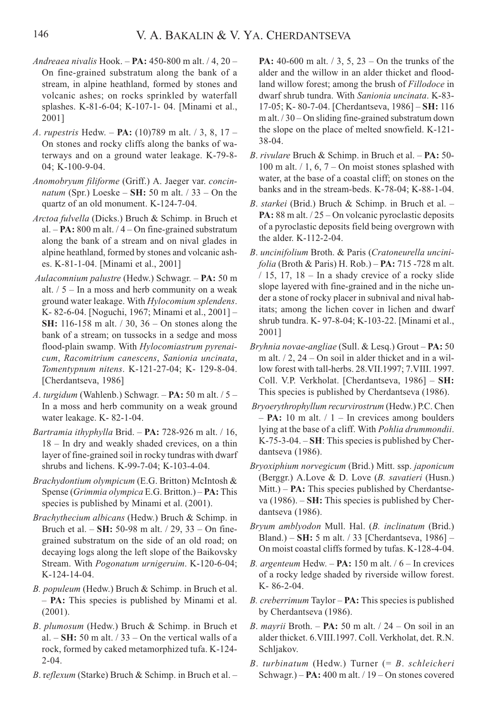- Andreaea nivalis Hook.  $PA: 450-800$  m alt.  $/ 4.20 -$ On fine-grained substratum along the bank of a stream, in alpine heathland, formed by stones and volcanic ashes; on rocks sprinkled by waterfall splashes. K-81-6-04; K-107-1- 04. [Minami et al., 2001]
- A. rupestris Hedw. PA: (10)789 m alt. / 3, 8, 17 On stones and rocky cliffs along the banks of waterways and on a ground water leakage. K-79-8- 04: K-100-9-04.
- Anomobryum filiforme (Griff.) A. Jaeger var. concin*natum* (Spr.) Loeske – **SH:** 50 m alt.  $/$  33 – On the quartz of an old monument. K-124-7-04.
- Arctoa fulvella (Dicks.) Bruch & Schimp. in Bruch et al.  $- PA: 800$  m alt.  $/ 4 - On$  fine-grained substratum along the bank of a stream and on nival glades in alpine heathland, formed by stones and volcanic ashes. K-81-1-04. [Minami et al., 2001]
- Aulacomnium palustre (Hedw.) Schwagr. PA: 50 m alt.  $/5$  – In a moss and herb community on a weak ground water leakage. With Hylocomium splendens. K- 82-6-04. [Noguchi, 1967; Minami et al., 2001] – SH: 116-158 m alt. / 30, 36 – On stones along the bank of a stream; on tussocks in a sedge and moss flood-plain swamp. With Hylocomiastrum pyrenaicum, Racomitrium canescens, Sanionia uncinata, Tomentypnum nitens. K-121-27-04; K- 129-8-04. [Cherdantseva, 1986]
- A. turgidum (Wahlenb.) Schwagr. PA: 50 m alt.  $/5$  -In a moss and herb community on a weak ground water leakage. K- 82-1-04.
- Bartramia ithyphylla Brid.  $PA$ : 728-926 m alt. / 16, 18 – In dry and weakly shaded crevices, on a thin layer of fine-grained soil in rocky tundras with dwarf shrubs and lichens. K-99-7-04; K-103-4-04.
- Brachydontium olympicum (E.G. Britton) McIntosh & Spense (Grimmia olympica E.G. Britton.) – **PA:** This species is published by Minami et al. (2001).
- Brachythecium albicans (Hedw.) Bruch & Schimp. in Bruch et al.  $-$  SH: 50-98 m alt.  $/$  29, 33 – On finegrained substratum on the side of an old road; on decaying logs along the left slope of the Baikovsky Stream. With Pogonatum urnigeruim. K-120-6-04; K-124-14-04.
- B. populeum (Hedw.) Bruch & Schimp. in Bruch et al. – PA: This species is published by Minami et al. (2001).
- B. plumosum (Hedw.) Bruch & Schimp. in Bruch et al.  $-$  SH: 50 m alt.  $/$  33 – On the vertical walls of a rock, formed by caked metamorphized tufa. K-124-  $2 - 04$ .
- B. reflexum (Starke) Bruch & Schimp. in Bruch et al. –

**PA:** 40-600 m alt.  $/$  3, 5, 23 – On the trunks of the alder and the willow in an alder thicket and floodland willow forest; among the brush of *Fillodoce* in dwarf shrub tundra. With Sanionia uncinata. K-83- 17-05; K- 80-7-04. [Cherdantseva, 1986] – SH: 116 m alt. / 30 – On sliding fine-grained substratum down the slope on the place of melted snowfield. K-121- 38-04.

- B. rivulare Bruch & Schimp. in Bruch et al. PA: 50- 100 m alt.  $/ 1$ , 6, 7 – On moist stones splashed with water, at the base of a coastal cliff; on stones on the banks and in the stream-beds. K-78-04; K-88-1-04.
- B. starkei (Brid.) Bruch & Schimp. in Bruch et al. **PA:**  $88 \text{ m alt.} / 25 - \text{On}$  volcanic pyroclastic deposits of a pyroclastic deposits field being overgrown with the alder. K-112-2-04.
- B. uncinifolium Broth. & Paris (Cratoneurella uncini $folia$  (Broth & Paris) H. Rob.) –  $PA: 715 - 728$  m alt.  $/ 15$ , 17, 18 – In a shady crevice of a rocky slide slope layered with fine-grained and in the niche under a stone of rocky placer in subnival and nival habitats; among the lichen cover in lichen and dwarf shrub tundra. K- 97-8-04; K-103-22. [Minami et al., 2001]
- Bryhnia novae-angliae (Sull. & Lesq.) Grout PA: 50 m alt. / 2, 24 – On soil in alder thicket and in a willow forest with tall-herbs. 28.VII.1997; 7.VIII. 1997. Coll. V.P. Verkholat. [Cherdantseva, 1986] – SH: This species is published by Cherdantseva (1986).
- Bryoerythrophyllum recurvirostrum (Hedw.) P.C. Chen  $-$  **PA:** 10 m alt.  $/1 -$  In crevices among boulders lying at the base of a cliff. With Pohlia drummondii. K-75-3-04. – SH: This species is published by Cherdantseva (1986).
- Bryoxiphium norvegicum (Brid.) Mitt. ssp. japonicum (Berggr.) A.Love & D. Love (B. savatieri (Husn.) Mitt.) – **PA:** This species published by Cherdantseva  $(1986)$ .  $-$  SH: This species is published by Cherdantseva (1986).
- Bryum amblyodon Mull. Hal. (B. inclinatum (Brid.) Bland.) – SH: 5 m alt. / 33 [Cherdantseva, 1986] – On moist coastal cliffs formed by tufas. K-128-4-04.
- B. argenteum Hedw.  $PA: 150$  m alt.  $/ 6 In$  crevices of a rocky ledge shaded by riverside willow forest. K- 86-2-04.
- B. creberrimum Taylor PA: This species is published by Cherdantseva (1986).
- B. mayrii Broth.  $PA: 50$  m alt.  $/ 24 On$  soil in an alder thicket. 6.VIII.1997. Coll. Verkholat, det. R.N. Schljakov.
- B. turbinatum (Hedw.) Turner (= B. schleicheri Schwagr.) –  $PA: 400$  m alt.  $/19 - On$  stones covered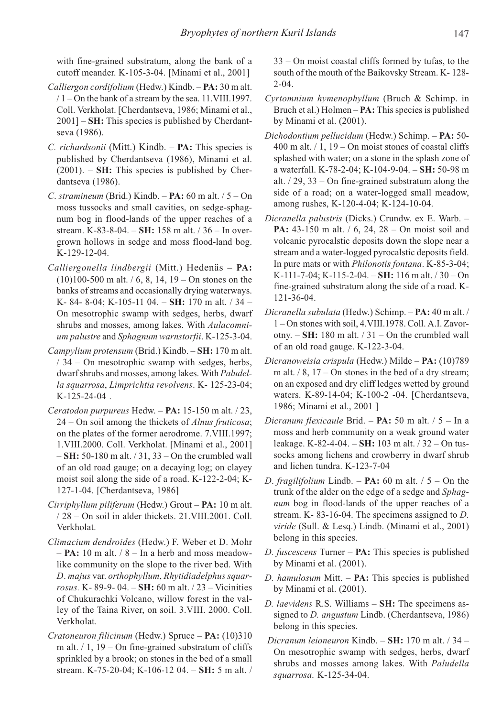with fine-grained substratum, along the bank of a cutoff meander. K-105-3-04. [Minami et al., 2001]

- Calliergon cordifolium (Hedw.) Kindb. PA: 30 m alt. / 1 – On the bank of a stream by the sea. 11.VIII.1997. Coll. Verkholat. [Cherdantseva, 1986; Minami et al., 2001] – **SH:** This species is published by Cherdantseva (1986).
- C. richardsonii (Mitt.) Kindb. PA: This species is published by Cherdantseva (1986), Minami et al.  $(2001)$ . – **SH:** This species is published by Cherdantseva (1986).
- C. stramineum (Brid.) Kindb.  $PA: 60$  m alt.  $/5 On$ moss tussocks and small cavities, on sedge-sphagnum bog in flood-lands of the upper reaches of a stream. K-83-8-04. – SH: 158 m alt. / 36 – In overgrown hollows in sedge and moss flood-land bog. K-129-12-04.
- Calliergonella lindbergii (Mitt.) Hedenäs PA:  $(10)100-500$  m alt. / 6, 8, 14, 19 – On stones on the banks of streams and occasionally drying waterways. K- 84- 8-04; K-105-11 04. - SH: 170 m alt. / 34 -On mesotrophic swamp with sedges, herbs, dwarf shrubs and mosses, among lakes. With Aulacomnium palustre and Sphagnum warnstorfii. K-125-3-04.
- Campylium protensum (Brid.) Kindb. SH: 170 m alt. / 34 – On mesotrophic swamp with sedges, herbs, dwarf shrubs and mosses, among lakes. With Paludella squarrosa, Limprichtia revolvens. K- 125-23-04; K-125-24-04 .
- Ceratodon purpureus Hedw. PA: 15-150 m alt. / 23,  $24 - On$  soil among the thickets of *Alnus fruticosa*; on the plates of the former aerodrome. 7.VIII.1997; 1.VIII.2000. Coll. Verkholat. [Minami et al., 2001]  $-$  SH: 50-180 m alt.  $/$  31, 33 – On the crumbled wall of an old road gauge; on a decaying log; on clayey moist soil along the side of a road. K-122-2-04; K-127-1-04. [Cherdantseva, 1986]
- Cirriphyllum piliferum (Hedw.) Grout PA: 10 m alt. / 28 – On soil in alder thickets. 21.VIII.2001. Coll. Verkholat.
- Climacium dendroides (Hedw.) F. Weber et D. Mohr  $-$  **PA:** 10 m alt.  $/$  8 – In a herb and moss meadowlike community on the slope to the river bed. With D. majus var. orthophyllum, Rhytidiadelphus squarrosus. K-89-9-04. – SH: 60 m alt.  $/ 23$  – Vicinities of Chukurachki Volcano, willow forest in the valley of the Taina River, on soil. 3.VIII. 2000. Coll. Verkholat.
- Cratoneuron filicinum (Hedw.) Spruce PA: (10)310 m alt.  $/ 1$ , 19 – On fine-grained substratum of cliffs sprinkled by a brook; on stones in the bed of a small stream. K-75-20-04; K-106-12 04. – SH: 5 m alt. /

33 – On moist coastal cliffs formed by tufas, to the south of the mouth of the Baikovsky Stream. K- 128-  $2 - 04$ .

- Cyrtomnium hymenophyllum (Bruch & Schimp. in Bruch et al.) Holmen – **PA**: This species is published by Minami et al. (2001).
- Dichodontium pellucidum (Hedw.) Schimp. PA: 50- 400 m alt.  $/ 1$ , 19 – On moist stones of coastal cliffs splashed with water; on a stone in the splash zone of a waterfall. K-78-2-04; K-104-9-04. – SH: 50-98 m alt. / 29, 33 – On fine-grained substratum along the side of a road; on a water-logged small meadow, among rushes, K-120-4-04; K-124-10-04.
- Dicranella palustris (Dicks.) Crundw. ex E. Warb. **PA:** 43-150 m alt. / 6, 24, 28 – On moist soil and volcanic pyrocalstic deposits down the slope near a stream and a water-logged pyrocalstic deposits field. In pure mats or with Philonotis fontana. K-85-3-04; K-111-7-04; K-115-2-04. – SH: 116 m alt. / 30 – On fine-grained substratum along the side of a road. K-121-36-04.
- Dicranella subulata (Hedw.) Schimp. PA: 40 m alt. / 1 – On stones with soil, 4.VIII.1978. Coll. A.I. Zavorotny.  $-SH: 180$  m alt.  $/ 31 - On$  the crumbled wall of an old road gauge. K-122-3-04.
- Dicranoweisia crispula (Hedw.) Milde PA: (10)789 m alt.  $/ 8$ , 17 – On stones in the bed of a dry stream; on an exposed and dry cliff ledges wetted by ground waters. K-89-14-04; K-100-2 -04. [Cherdantseva, 1986; Minami et al., 2001 ]
- Dicranum flexicaule Brid. PA: 50 m alt. / 5 In a moss and herb community on a weak ground water leakage. K-82-4-04. – SH: 103 m alt. / 32 – On tussocks among lichens and crowberry in dwarf shrub and lichen tundra. K-123-7-04
- D. fragilifolium Lindb. **PA:** 60 m alt.  $/5$  On the trunk of the alder on the edge of a sedge and Sphagnum bog in flood-lands of the upper reaches of a stream. K- 83-16-04. The specimens assigned to D. viride (Sull. & Lesq.) Lindb. (Minami et al., 2001) belong in this species.
- D. fuscescens Turner  $PA:$  This species is published by Minami et al. (2001).
- D. hamulosum Mitt.  $PA:$  This species is published by Minami et al. (2001).
- D. laevidens R.S. Williams SH: The specimens assigned to *D. angustum* Lindb. (Cherdantseva, 1986) belong in this species.
- Dicranum leioneuron Kindb. SH: 170 m alt. / 34 On mesotrophic swamp with sedges, herbs, dwarf shrubs and mosses among lakes. With Paludella squarrosa. K-125-34-04.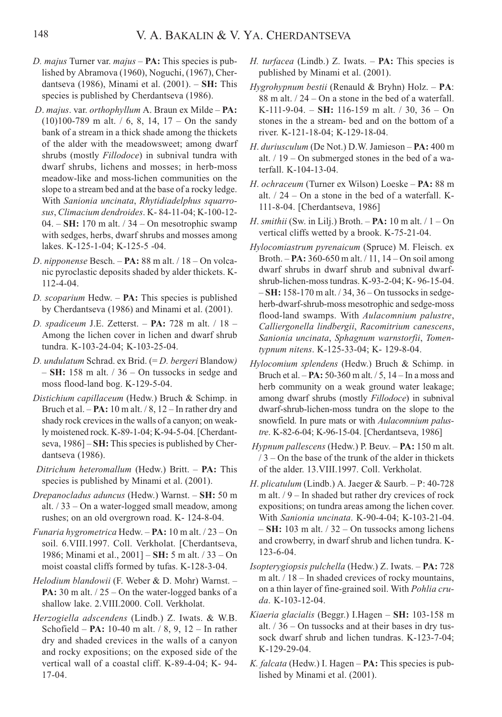- D. majus Turner var.  $majus PA$ : This species is published by Abramova (1960), Noguchi, (1967), Cherdantseva (1986), Minami et al.  $(2001)$ . – SH: This species is published by Cherdantseva (1986).
- D. majus. var. orthophyllum A. Braun ex Milde PA:  $(10)100-789$  m alt. / 6, 8, 14, 17 – On the sandy bank of a stream in a thick shade among the thickets of the alder with the meadowsweet; among dwarf shrubs (mostly Fillodoce) in subnival tundra with dwarf shrubs, lichens and mosses; in herb-moss meadow-like and moss-lichen communities on the slope to a stream bed and at the base of a rocky ledge. With Sanionia uncinata, Rhytidiadelphus squarrosus, Climacium dendroides. K- 84-11-04; K-100-12-  $04. - SH: 170$  m alt.  $/ 34 - On$  mesotrophic swamp with sedges, herbs, dwarf shrubs and mosses among lakes. K-125-1-04; K-125-5 -04.
- D. nipponense Besch. PA: 88 m alt. / 18 On volcanic pyroclastic deposits shaded by alder thickets. K-112-4-04.
- D. scoparium Hedw.  $PA$ : This species is published by Cherdantseva (1986) and Minami et al. (2001).
- D. spadiceum J.E. Zetterst. PA: 728 m alt.  $/ 18 -$ Among the lichen cover in lichen and dwarf shrub tundra. K-103-24-04; K-103-25-04.
- D. undulatum Schrad. ex Brid. (= D. bergeri Blandow)  $-$  SH: 158 m alt.  $/$  36 – On tussocks in sedge and moss flood-land bog. K-129-5-04.
- Distichium capillaceum (Hedw.) Bruch & Schimp. in Bruch et al.  $-PA: 10$  m alt.  $/ 8$ ,  $12 - In$  rather dry and shady rock crevices in the walls of a canyon; on weakly moistened rock. K-89-1-04; K-94-5-04. [Cherdantseva, 1986] – **SH:** This species is published by Cherdantseva (1986).
- Ditrichum heteromallum (Hedw.) Britt. PA: This species is published by Minami et al. (2001).
- Drepanocladus aduncus (Hedw.) Warnst. SH: 50 m alt. / 33 – On a water-logged small meadow, among rushes; on an old overgrown road. K- 124-8-04.
- Funaria hygrometrica Hedw.  $PA: 10$  m alt.  $/ 23 On$ soil. 6.VIII.1997. Coll. Verkholat. [Cherdantseva, 1986; Minami et al., 2001] – SH: 5 m alt. / 33 – On moist coastal cliffs formed by tufas. K-128-3-04.
- Helodium blandowii (F. Weber & D. Mohr) Warnst. **PA:** 30 m alt.  $/25 - On$  the water-logged banks of a shallow lake. 2.VIII.2000. Coll. Verkholat.
- Herzogiella adscendens (Lindb.) Z. Iwats. & W.B. Schofield – **PA:** 10-40 m alt.  $/ 8$ , 9, 12 – In rather dry and shaded crevices in the walls of a canyon and rocky expositions; on the exposed side of the vertical wall of a coastal cliff. K-89-4-04; K- 94- 17-04.
- H. turfacea (Lindb.) Z. Iwats.  $PA:$  This species is published by Minami et al. (2001).
- Hygrohypnum bestii (Renauld & Bryhn) Holz. РA: 88 m alt. / 24 – On a stone in the bed of a waterfall. K-111-9-04. – SH: 116-159 m alt.  $/30.36 - On$ stones in the a stream- bed and on the bottom of a river. K-121-18-04; K-129-18-04.
- H. duriusculum (De Not.) D.W. Jamieson PA: 400 m alt. / 19 – On submerged stones in the bed of a waterfall. K-104-13-04.
- H. ochraceum (Turner ex Wilson) Loeske PA: 88 m alt.  $/24 - On$  a stone in the bed of a waterfall. K-111-8-04. [Cherdantseva, 1986]
- H. smithii (Sw. in Lilj.) Broth.  $PA: 10$  m alt.  $/ 1 On$ vertical cliffs wetted by a brook. K-75-21-04.
- Hylocomiastrum pyrenaicum (Spruce) M. Fleisch. ex Broth.  $- PA: 360-650$  m alt.  $/11$ ,  $14-On$  soil among dwarf shrubs in dwarf shrub and subnival dwarfshrub-lichen-moss tundras. K-93-2-04; K- 96-15-04. – SH: 158-170 m alt. / 34, 36 – On tussocks in sedgeherb-dwarf-shrub-moss mesotrophic and sedge-moss flood-land swamps. With Aulacomnium palustre, Calliergonella lindbergii, Racomitrium canescens, Sanionia uncinata, Sphagnum warnstorfii, Tomentypnum nitens. K-125-33-04; K- 129-8-04.
- Hylocomium splendens (Hedw.) Bruch & Schimp. in Bruch et al. – PA: 50-360 m alt. / 5, 14 – In a moss and herb community on a weak ground water leakage; among dwarf shrubs (mostly Fillodoce) in subnival dwarf-shrub-lichen-moss tundra on the slope to the snowfield. In pure mats or with Aulacomnium palustre. K-82-6-04; K-96-15-04. [Cherdantseva, 1986]
- Hypnum pallescens (Hedw.) P. Beuv. PA: 150 m alt.  $/ 3 -$ On the base of the trunk of the alder in thickets of the alder. 13.VIII.1997. Coll. Verkholat.
- H. plicatulum (Lindb.) A. Jaeger & Saurb. Р: 40-728 m alt. / 9 – In shaded but rather dry crevices of rock expositions; on tundra areas among the lichen cover. With Sanionia uncinata. K-90-4-04; K-103-21-04. – SH: 103 m alt. / 32 – On tussocks among lichens and crowberry, in dwarf shrub and lichen tundra. K-123-6-04.
- Isopterygiopsis pulchella (Hedw.) Z. Iwats. PA: 728 m alt.  $/18$  – In shaded crevices of rocky mountains, on a thin layer of fine-grained soil. With Pohlia cruda. K-103-12-04.
- Kiaeria glacialis (Beggr.) I.Hagen SH: 103-158 m alt. / 36 – On tussocks and at their bases in dry tussock dwarf shrub and lichen tundras. K-123-7-04; K-129-29-04.
- K. falcata (Hedw.) I. Hagen **PA:** This species is published by Minami et al. (2001).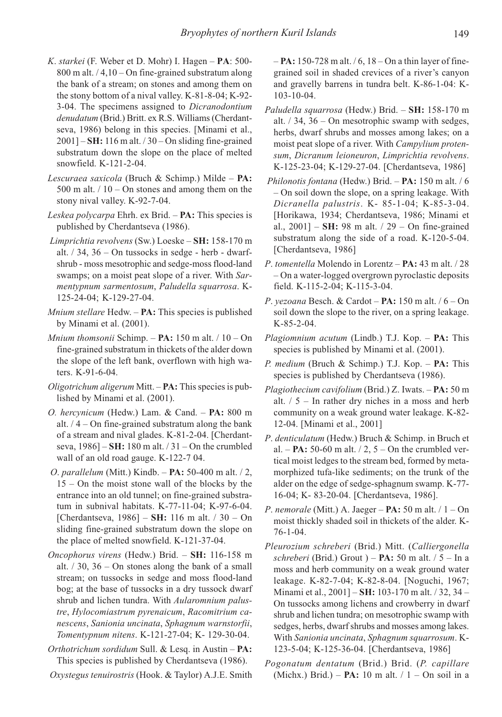- K. starkei (F. Weber et D. Mohr) I. Hagen РA: 500-  $800$  m alt.  $/4,10 - On$  fine-grained substratum along the bank of a stream; on stones and among them on the stony bottom of a nival valley. K-81-8-04; K-92- 3-04. The specimens assigned to Dicranodontium denudatum (Brid.) Britt. ex R.S. Williams (Cherdantseva, 1986) belong in this species. [Minami et al.,  $2001$ ] – SH: 116 m alt.  $/$  30 – On sliding fine-grained substratum down the slope on the place of melted snowfield. K-121-2-04.
- Lescuraea saxicola (Bruch & Schimp.) Milde PA: 500 m alt.  $/ 10 -$ On stones and among them on the stony nival valley. K-92-7-04.
- Leskea polycarpa Ehrh. ex Brid. PA: This species is published by Cherdantseva (1986).
- Limprichtia revolvens (Sw.) Loeske SH: 158-170 m alt.  $/$  34, 36 – On tussocks in sedge - herb - dwarfshrub - moss mesotrophic and sedge-moss flood-land swamps; on a moist peat slope of a river. With Sarmentypnum sarmentosum, Paludella squarrosa. K-125-24-04; K-129-27-04.
- *Mnium stellare* Hedw.  $PA:$  This species is published by Minami et al. (2001).
- Mnium thomsonii Schimp.  $PA: 150$  m alt.  $/ 10 On$ fine-grained substratum in thickets of the alder down the slope of the left bank, overflown with high waters. K-91-6-04.
- Oligotrichum aligerum Mitt.  $PA:$  This species is published by Minami et al. (2001).
- O. hercynicum (Hedw.) Lam. & Cand. PA: 800 m alt.  $/4 -$ On fine-grained substratum along the bank of a stream and nival glades. K-81-2-04. [Cherdantseva,  $1986$ ] – SH: 180 m alt.  $/31$  – On the crumbled wall of an old road gauge. K-122-7 04.
- O. parallelum (Mitt.) Kindb.  $PA: 50-400$  m alt. / 2, 15 – On the moist stone wall of the blocks by the entrance into an old tunnel; on fine-grained substratum in subnival habitats. K-77-11-04; K-97-6-04. [Cherdantseva,  $1986$ ] – SH: 116 m alt.  $/ 30 - On$ sliding fine-grained substratum down the slope on the place of melted snowfield. K-121-37-04.
- Oncophorus virens (Hedw.) Brid. SH: 116-158 m alt.  $/ 30$ ,  $36 -$ On stones along the bank of a small stream; on tussocks in sedge and moss flood-land bog; at the base of tussocks in a dry tussock dwarf shrub and lichen tundra. With Aularomnium palustre, Hylocomiastrum pyrenaicum, Racomitrium canescens, Sanionia uncinata, Sphagnum warnstorfii, Tomentypnum nitens. K-121-27-04; K- 129-30-04.
- Orthotrichum sordidum Sull. & Lesq. in Austin PA: This species is published by Cherdantseva (1986).

Oxystegus tenuirostris (Hook. & Taylor) A.J.E. Smith

 $-$  **PA:** 150-728 m alt.  $/6$ , 18 – On a thin layer of finegrained soil in shaded crevices of a river's canyon and gravelly barrens in tundra belt. K-86-1-04: K-103-10-04.

- Paludella squarrosa (Hedw.) Brid. SH: 158-170 m alt. / 34, 36 – On mesotrophic swamp with sedges, herbs, dwarf shrubs and mosses among lakes; on a moist peat slope of a river. With Campylium protensum, Dicranum leioneuron, Limprichtia revolvens. K-125-23-04; K-129-27-04. [Cherdantseva, 1986]
- Philonotis fontana (Hedw.) Brid. PA: 150 m alt. / 6 – On soil down the slope, on a spring leakage. With Dicranella palustris. K- 85-1-04; K-85-3-04. [Horikawa, 1934; Cherdantseva, 1986; Minami et al.,  $2001$ ] – SH: 98 m alt.  $/ 29$  – On fine-grained substratum along the side of a road. K-120-5-04. [Cherdantseva, 1986]
- P. tomentella Molendo in Lorentz PA: 43 m alt. / 28 – On a water-logged overgrown pyroclastic deposits field. K-115-2-04; K-115-3-04.
- P. yezoana Besch. & Cardot  $PA: 150$  m alt.  $/6 On$ soil down the slope to the river, on a spring leakage. K-85-2-04.
- Plagiomnium acutum (Lindb.) T.J. Kop.  $PA:$  This species is published by Minami et al. (2001).
- *P. medium* (Bruch & Schimp.) T.J. Kop.  $PA:$  This species is published by Cherdantseva (1986).
- Plagiothecium cavifolium (Brid.) Z. Iwats. PA: 50 m alt. / 5 – In rather dry niches in a moss and herb community on a weak ground water leakage. K-82- 12-04. [Minami et al., 2001]
- P. denticulatum (Hedw.) Bruch & Schimp. in Bruch et al. – **PA:** 50-60 m alt.  $/2$ , 5 – On the crumbled vertical moist ledges to the stream bed, formed by metamorphized tufa-like sediments; on the trunk of the alder on the edge of sedge-sphagnum swamp. K-77- 16-04; K- 83-20-04. [Cherdantseva, 1986].
- P. nemorale (Mitt.) A. Jaeger  $PA: 50$  m alt.  $/1 On$ moist thickly shaded soil in thickets of the alder. K-76-1-04.
- Pleurozium schreberi (Brid.) Mitt. (Calliergonella schreberi (Brid.) Grout  $) - PA$ : 50 m alt. / 5 – In a moss and herb community on a weak ground water leakage. K-82-7-04; K-82-8-04. [Noguchi, 1967; Minami et al., 2001] – SH: 103-170 m alt. / 32, 34 – On tussocks among lichens and crowberry in dwarf shrub and lichen tundra; on mesotrophic swamp with sedges, herbs, dwarf shrubs and mosses among lakes. With Sanionia uncinata, Sphagnum squarrosum. K-123-5-04; K-125-36-04. [Cherdantseva, 1986]
- Pogonatum dentatum (Brid.) Brid. (P. capillare (Michx.) Brid.) – **PA:** 10 m alt.  $/ 1 -$  On soil in a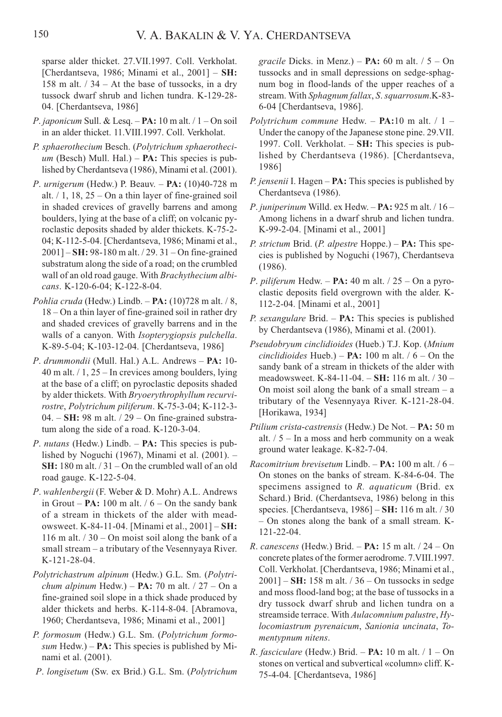sparse alder thicket. 27.VII.1997. Coll. Verkholat. [Cherdantseva, 1986; Minami et al., 2001] – SH: 158 m alt. / 34 – At the base of tussocks, in a dry tussock dwarf shrub and lichen tundra. K-129-28- 04. [Cherdantseva, 1986]

- P. japonicum Sull. & Lesq.  $PA: 10$  m alt.  $/1 On$  soil in an alder thicket. 11.VIII.1997. Coll. Verkholat.
- P. sphaerothecium Besch. (Polytrichum sphaerotheci $um$  (Besch) Mull. Hal.) – **PA:** This species is published by Cherdantseva (1986), Minami et al. (2001).
- P. urnigerum (Hedw.) P. Beauv.  $PA: (10)40-728$  m alt.  $/ 1$ , 18, 25 – On a thin layer of fine-grained soil in shaded crevices of gravelly barrens and among boulders, lying at the base of a cliff; on volcanic pyroclastic deposits shaded by alder thickets. K-75-2- 04; K-112-5-04. [Cherdantseva, 1986; Minami et al., 2001] – SH: 98-180 m alt. / 29. 31 – On fine-grained substratum along the side of a road; on the crumbled wall of an old road gauge. With Brachythecium albicans. K-120-6-04; K-122-8-04.
- Pohlia cruda (Hedw.) Lindb.  $PA: (10)728$  m alt. / 8, 18 – On a thin layer of fine-grained soil in rather dry and shaded crevices of gravelly barrens and in the walls of a canyon. With Isopterygiopsis pulchella. K-89-5-04; K-103-12-04. [Cherdantseva, 1986]
- P. drummondii (Mull. Hal.) A.L. Andrews PA: 10- $40$  m alt.  $/1$ ,  $25 -$  In crevices among boulders, lying at the base of a cliff; on pyroclastic deposits shaded by alder thickets. With Bryoerythrophyllum recurvirostre, Polytrichum piliferum. K-75-3-04; K-112-3-  $04. - SH: 98$  m alt.  $/ 29 - On$  fine-grained substratum along the side of a road. K-120-3-04.
- *P. nutans* (Hedw.) Lindb.  $PA:$  This species is published by Noguchi (1967), Minami et al. (2001). – SH: 180 m alt. / 31 – On the crumbled wall of an old road gauge. K-122-5-04.
- P. wahlenbergii (F. Weber & D. Mohr) A.L. Andrews in Grout –  $PA: 100$  m alt.  $/ 6 - On$  the sandy bank of a stream in thickets of the alder with meadowsweet. K-84-11-04. [Minami et al., 2001] – SH: 116 m alt.  $/$  30 – On moist soil along the bank of a small stream – a tributary of the Vesennyaya River. K-121-28-04.
- Polytrichastrum alpinum (Hedw.) G.L. Sm. (Polytrichum alpinum Hedw.) –  $PA: 70$  m alt.  $/ 27 - On$  a fine-grained soil slope in a thick shade produced by alder thickets and herbs. K-114-8-04. [Abramova, 1960; Cherdantseva, 1986; Minami et al., 2001]
- P. formosum (Hedw.) G.L. Sm. (Polytrichum formosum Hedw.) –  $PA:$  This species is published by Minami et al. (2001).
- P. longisetum (Sw. ex Brid.) G.L. Sm. (Polytrichum

*gracile* Dicks. in Menz.) – **PA:** 60 m alt.  $/5 - On$ tussocks and in small depressions on sedge-sphagnum bog in flood-lands of the upper reaches of a stream. With Sphagnum fallax, S. squarrosum.K-83-6-04 [Cherdantseva, 1986].

- Polytrichum commune Hedw.  $PA:10$  m alt. / 1 Under the canopy of the Japanese stone pine. 29.VII. 1997. Coll. Verkholat. – SH: This species is published by Cherdantseva (1986). [Cherdantseva, 1986]
- *P. jensenii* I. Hagen  $PA$ : This species is published by Cherdantseva (1986).
- P. juniperinum Willd. ex Hedw.  $PA: 925$  m alt.  $/ 16 -$ Among lichens in a dwarf shrub and lichen tundra. K-99-2-04. [Minami et al., 2001]
- P. strictum Brid. (P. alpestre Hoppe.)  $PA:$  This species is published by Noguchi (1967), Cherdantseva (1986).
- P. piliferum Hedw.  $PA: 40$  m alt.  $/ 25 On$  a pyroclastic deposits field overgrown with the alder. K-112-2-04. [Minami et al., 2001]
- P. sexangulare Brid.  $PA:$  This species is published by Cherdantseva (1986), Minami et al. (2001).
- Pseudobryum cinclidioides (Hueb.) T.J. Kop. (Mnium cinclidioides Hueb.) – **PA:** 100 m alt.  $/6$  – On the sandy bank of a stream in thickets of the alder with meadowsweet. K-84-11-04. – SH: 116 m alt. / 30 – On moist soil along the bank of a small stream  $-$  a tributary of the Vesennyaya River. K-121-28-04. [Horikawa, 1934]
- Ptilium crista-castrensis (Hedw.) De Not. PA: 50 m alt.  $/5$  – In a moss and herb community on a weak ground water leakage. K-82-7-04.
- Racomitrium brevisetum Lindb.  $PA: 100$  m alt. / 6 On stones on the banks of stream. K-84-6-04. The specimens assigned to R. *aquaticum* (Brid. ex Schard.) Brid. (Cherdantseva, 1986) belong in this species. [Cherdantseva, 1986] – SH: 116 m alt. / 30 – On stones along the bank of a small stream. K-121-22-04.
- R. canescens (Hedw.) Brid.  $PA: 15 m alt. / 24 On$ concrete plates of the former aerodrome. 7.VIII.1997. Coll. Verkholat. [Cherdantseva, 1986; Minami et al.,  $2001$ ] – SH: 158 m alt.  $/$  36 – On tussocks in sedge and moss flood-land bog; at the base of tussocks in a dry tussock dwarf shrub and lichen tundra on a streamside terrace. With Aulacomnium palustre, Hylocomiastrum pyrenaicum, Sanionia uncinata, Tomentypnum nitens.
- *R. fasciculare* (Hedw.) Brid. **PA:** 10 m alt.  $/ 1 On$ stones on vertical and subvertical «column» cliff. K-75-4-04. [Cherdantseva, 1986]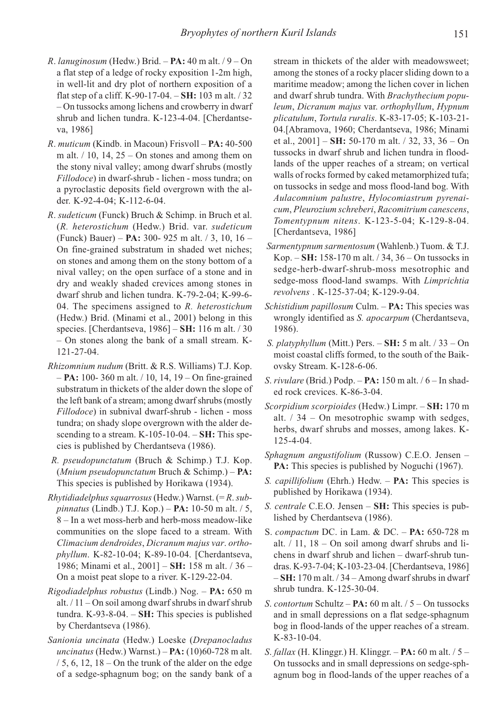- R. lanuginosum (Hedw.) Brid.  $PA: 40$  m alt.  $/ 9 On$ a flat step of a ledge of rocky exposition 1-2m high, in well-lit and dry plot of northern exposition of a flat step of a cliff. K-90-17-04.  $-$  SH: 103 m alt.  $/$  32 – On tussocks among lichens and crowberry in dwarf shrub and lichen tundra. K-123-4-04. [Cherdantseva, 1986]
- R. muticum (Kindb. in Macoun) Frisvoll PA: 40-500 m alt.  $/ 10$ , 14, 25 – On stones and among them on the stony nival valley; among dwarf shrubs (mostly Fillodoce) in dwarf-shrub - lichen - moss tundra; on a pyroclastic deposits field overgrown with the alder. K-92-4-04; K-112-6-04.
- R. sudeticum (Funck) Bruch & Schimp. in Bruch et al. (R. heterostichum (Hedw.) Brid. var. sudeticum (Funck) Bauer) – PA: 300- 925 m alt. / 3, 10, 16 – On fine-grained substratum in shaded wet niches; on stones and among them on the stony bottom of a nival valley; on the open surface of a stone and in dry and weakly shaded crevices among stones in dwarf shrub and lichen tundra. K-79-2-04; K-99-6- 04. The specimens assigned to  $R$ . heterostichum (Hedw.) Brid. (Minami et al., 2001) belong in this species. [Cherdantseva, 1986] – **SH:** 116 m alt. / 30 – On stones along the bank of a small stream. K-121-27-04.
- Rhizomnium nudum (Britt. & R.S. Williams) T.J. Kop. – PA: 100- 360 m alt. / 10, 14, 19 – On fine-grained substratum in thickets of the alder down the slope of the left bank of a stream; among dwarf shrubs (mostly Fillodoce) in subnival dwarf-shrub - lichen - moss tundra; on shady slope overgrown with the alder descending to a stream.  $K-105-10-04$ .  $-SH:$  This species is published by Cherdantseva (1986).
- R. pseudopunctatum (Bruch & Schimp.) T.J. Kop. (Mnium pseudopunctatum Bruch & Schimp.) – PA: This species is published by Horikawa (1934).
- Rhytidiadelphus squarrosus (Hedw.) Warnst.  $(=R. sub$ pinnatus (Lindb.) T.J. Kop.) –  $PA: 10-50$  m alt. / 5, 8 – In a wet moss-herb and herb-moss meadow-like communities on the slope faced to a stream. With Climacium dendroides, Dicranum majus var. orthophyllum. K-82-10-04; K-89-10-04. [Cherdantseva, 1986; Minami et al., 2001] – SH: 158 m alt. / 36 – On a moist peat slope to a river. K-129-22-04.
- Rigodiadelphus robustus (Lindb.) Nog. PA: 650 m alt. / 11 – On soil among dwarf shrubs in dwarf shrub tundra. K-93-8-04. –  $SH:$  This species is published by Cherdantseva (1986).
- Sanionia uncinata (Hedw.) Loeske (Drepanocladus uncinatus (Hedw.) Warnst.) –  $PA: (10)60-728$  m alt.  $/ 5$ , 6, 12, 18 – On the trunk of the alder on the edge of a sedge-sphagnum bog; on the sandy bank of a

stream in thickets of the alder with meadowsweet; among the stones of a rocky placer sliding down to a maritime meadow; among the lichen cover in lichen and dwarf shrub tundra. With Brachythecium populeum, Dicranum majus var. orthophyllum, Hypnum plicatulum, Tortula ruralis. K-83-17-05; K-103-21- 04.[Abramova, 1960; Cherdantseva, 1986; Minami et al.,  $2001$ ] – SH: 50-170 m alt.  $/$  32, 33, 36 – On tussocks in dwarf shrub and lichen tundra in floodlands of the upper reaches of a stream; on vertical walls of rocks formed by caked metamorphized tufa; on tussocks in sedge and moss flood-land bog. With Aulacomnium palustre, Hylocomiastrum pyrenaicum, Pleurozium schreberi, Racomitrium canescens, Tomentypnum nitens. K-123-5-04; K-129-8-04. [Cherdantseva, 1986]

- Sarmentypnum sarmentosum (Wahlenb.) Tuom. & T.J. Kop. – SH: 158-170 m alt. / 34, 36 – On tussocks in sedge-herb-dwarf-shrub-moss mesotrophic and sedge-moss flood-land swamps. With Limprichtia revolvens . K-125-37-04; K-129-9-04.
- Schistidium papillosum Culm. PA: This species was wrongly identified as S. apocarpum (Cherdantseva, 1986).
- S. platyphyllum (Mitt.) Pers.  $-$  SH: 5 m alt.  $/ 33 -$ On moist coastal cliffs formed, to the south of the Baikovsky Stream. K-128-6-06.
- S. rivulare (Brid.) Podp. PA: 150 m alt. / 6 In shaded rock crevices. K-86-3-04.
- Scorpidium scorpioides (Hedw.) Limpr. SH: 170 m alt.  $/34 - On$  mesotrophic swamp with sedges, herbs, dwarf shrubs and mosses, among lakes. K-125-4-04.
- Sphagnum angustifolium (Russow) C.E.O. Jensen PA: This species is published by Noguchi (1967).
- S. capillifolium (Ehrh.) Hedw. PA: This species is published by Horikawa (1934).
- S. centrale C.E.O. Jensen SH: This species is published by Cherdantseva (1986).
- S. compactum DC. in Lam. & DC. PA: 650-728 m alt.  $/ 11$ ,  $18 - On$  soil among dwarf shrubs and lichens in dwarf shrub and lichen – dwarf-shrub tundras. K-93-7-04; K-103-23-04. [Cherdantseva, 1986]  $-SH: 170$  m alt.  $/34 -$ Among dwarf shrubs in dwarf shrub tundra. K-125-30-04.
- S. contortum Schultz  $PA: 60$  m alt.  $/5 On$  tussocks and in small depressions on a flat sedge-sphagnum bog in flood-lands of the upper reaches of a stream. K-83-10-04.
- S. fallax (H. Klinggr.) H. Klinggr.  $PA: 60$  m alt. / 5 On tussocks and in small depressions on sedge-sphagnum bog in flood-lands of the upper reaches of a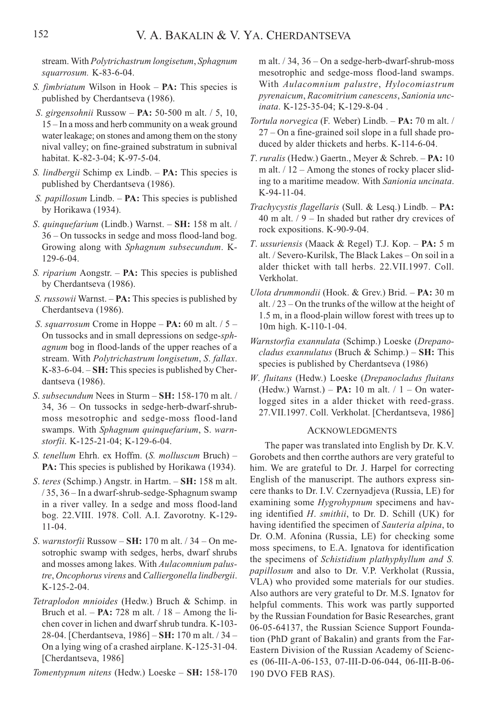stream. With Polytrichastrum longisetum, Sphagnum squarrosum. K-83-6-04.

- S. *fimbriatum* Wilson in Hook **PA:** This species is published by Cherdantseva (1986).
- S. girgensohnii Russow PA: 50-500 m alt. / 5, 10, 15 – In a moss and herb community on a weak ground water leakage; on stones and among them on the stony nival valley; on fine-grained substratum in subnival habitat. K-82-3-04; K-97-5-04.
- S. *lindbergii* Schimp ex Lindb.  $PA:$  This species is published by Cherdantseva (1986).
- S. *papillosum* Lindb. **PA:** This species is published by Horikawa (1934).
- S. quinquefarium (Lindb.) Warnst. SH: 158 m alt. / 36 – On tussocks in sedge and moss flood-land bog. Growing along with Sphagnum subsecundum. K-129-6-04.
- S. riparium Aongstr. PA: This species is published by Cherdantseva (1986).
- S. russowii Warnst. **PA:** This species is published by Cherdantseva (1986).
- S. squarrosum Crome in Hoppe **PA:** 60 m alt.  $/5$  On tussocks and in small depressions on sedge-sphagnum bog in flood-lands of the upper reaches of a stream. With Polytrichastrum longisetum, S. fallax. K-83-6-04. – SH: This species is published by Cherdantseva (1986).
- S. subsecundum Nees in Sturm SH: 158-170 m alt. / 34, 36 – On tussocks in sedge-herb-dwarf-shrubmoss mesotrophic and sedge-moss flood-land swamps. With Sphagnum quinquefarium, S. warnstorfii. K-125-21-04; K-129-6-04.
- S. tenellum Ehrh. ex Hoffm. (S. molluscum Bruch) PA: This species is published by Horikawa (1934).
- S. teres (Schimp.) Angstr. in Hartm. SH: 158 m alt. / 35, 36 – In a dwarf-shrub-sedge-Sphagnum swamp in a river valley. In a sedge and moss flood-land bog. 22.VIII. 1978. Coll. A.I. Zavorotny. K-129- 11-04.
- S. warnstorfii Russow  $SH: 170$  m alt.  $/34$  On mesotrophic swamp with sedges, herbs, dwarf shrubs and mosses among lakes. With Aulacomnium palustre, Oncophorus virens and Calliergonella lindbergii. K-125-2-04.
- Tetraplodon mnioides (Hedw.) Bruch & Schimp. in Bruch et al.  $- PA: 728$  m alt.  $/ 18 -$  Among the lichen cover in lichen and dwarf shrub tundra. K-103- 28-04. [Cherdantseva, 1986] – SH: 170 m alt. / 34 – On a lying wing of a crashed airplane. K-125-31-04. [Cherdantseva, 1986]

Tomentypnum nitens (Hedw.) Loeske – SH: 158-170

m alt. / 34, 36 – On a sedge-herb-dwarf-shrub-moss mesotrophic and sedge-moss flood-land swamps. With Aulacomnium palustre, Hylocomiastrum pyrenaicum, Racomitrium canescens, Sanionia uncinata. K-125-35-04; K-129-8-04 .

- Tortula norvegica (F. Weber) Lindb. PA: 70 m alt. / 27 – On a fine-grained soil slope in a full shade produced by alder thickets and herbs. K-114-6-04.
- T. ruralis (Hedw.) Gaertn., Meyer & Schreb. PA: 10 m alt.  $/12 -$  Among the stones of rocky placer sliding to a maritime meadow. With Sanionia uncinata. K-94-11-04.
- Trachycystis flagellaris (Sull. & Lesq.) Lindb.  $PA:$ 40 m alt.  $/ 9 -$  In shaded but rather dry crevices of rock expositions. K-90-9-04.
- T. ussuriensis (Maack & Regel) T.J. Kop. PA: 5 m alt. / Severo-Kurilsk, The Black Lakes – On soil in a alder thicket with tall herbs. 22.VII.1997. Coll. Verkholat.
- Ulota drummondii (Hook. & Grev.) Brid. PA: 30 m alt. / 23 – On the trunks of the willow at the height of 1.5 m, in a flood-plain willow forest with trees up to 10m high. K-110-1-04.
- Warnstorfia exannulata (Schimp.) Loeske (Drepanocladus exannulatus (Bruch & Schimp.) –  $SH:$  This species is published by Cherdantseva (1986)
- W. fluitans (Hedw.) Loeske (Drepanocladus fluitans (Hedw.) Warnst.) –  $PA: 10$  m alt.  $/ 1 - On$  waterlogged sites in a alder thicket with reed-grass. 27.VII.1997. Coll. Verkholat. [Cherdantseva, 1986]

#### ACKNOWLEDGMENTS

The paper was translated into English by Dr. K.V. Gorobets and then corrthe authors are very grateful to him. We are grateful to Dr. J. Harpel for correcting English of the manuscript. The authors express sincere thanks to Dr. I.V. Czernyadjeva (Russia, LE) for examining some Hygrohypnum specimens and having identified H. smithii, to Dr. D. Schill (UK) for having identified the specimen of Sauteria alpina, to Dr. O.M. Afonina (Russia, LE) for checking some moss specimens, to E.A. Ignatova for identification the specimens of Schistidium plathyphyllum and S. papillosum and also to Dr. V.P. Verkholat (Russia, VLA) who provided some materials for our studies. Also authors are very grateful to Dr. M.S. Ignatov for helpful comments. This work was partly supported by the Russian Foundation for Basic Researches, grant 06-05-64137, the Russian Science Support Foundation (PhD grant of Bakalin) and grants from the Far-Eastern Division of the Russian Academy of Sciences (06-III-A-06-153, 07-III-D-06-044, 06-III-B-06- 190 DVO FEB RAS).